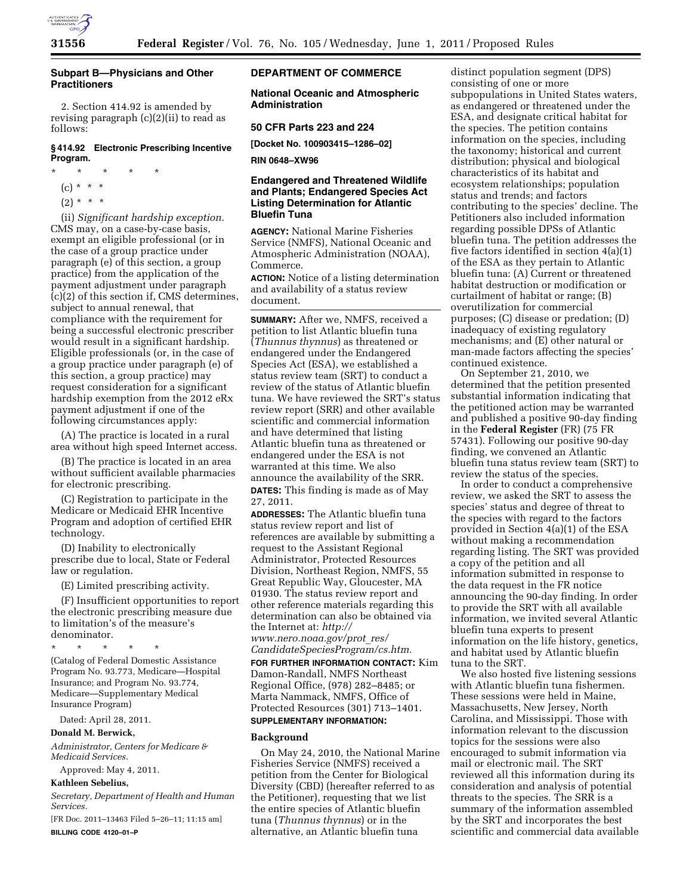

## **Subpart B—Physicians and Other Practitioners**

2. Section 414.92 is amended by revising paragraph (c)(2)(ii) to read as follows:

#### **§ 414.92 Electronic Prescribing Incentive Program.**

- \* \* \* \* \*
	- $(c) * * * *$
	- $(2) * * * *$

(ii) *Significant hardship exception.*  CMS may, on a case-by-case basis, exempt an eligible professional (or in the case of a group practice under paragraph (e) of this section, a group practice) from the application of the payment adjustment under paragraph  $(c)(2)$  of this section if, CMS determines, subject to annual renewal, that compliance with the requirement for being a successful electronic prescriber would result in a significant hardship. Eligible professionals (or, in the case of a group practice under paragraph (e) of this section, a group practice) may request consideration for a significant hardship exemption from the 2012 eRx payment adjustment if one of the following circumstances apply:

(A) The practice is located in a rural area without high speed Internet access.

(B) The practice is located in an area without sufficient available pharmacies for electronic prescribing.

(C) Registration to participate in the Medicare or Medicaid EHR Incentive Program and adoption of certified EHR technology.

(D) Inability to electronically prescribe due to local, State or Federal law or regulation.

(E) Limited prescribing activity.

(F) Insufficient opportunities to report the electronic prescribing measure due to limitation's of the measure's denominator.

\* \* \* \* \* (Catalog of Federal Domestic Assistance Program No. 93.773, Medicare—Hospital Insurance; and Program No. 93.774, Medicare—Supplementary Medical

Insurance Program)

Dated: April 28, 2011.

# **Donald M. Berwick,**

*Administrator, Centers for Medicare & Medicaid Services.* 

Approved: May 4, 2011.

## **Kathleen Sebelius,**

*Secretary, Department of Health and Human Services.* 

[FR Doc. 2011–13463 Filed 5–26–11; 11:15 am] **BILLING CODE 4120–01–P** 

## **DEPARTMENT OF COMMERCE**

**National Oceanic and Atmospheric Administration** 

## **50 CFR Parts 223 and 224**

**[Docket No. 100903415–1286–02]** 

**RIN 0648–XW96** 

# **Endangered and Threatened Wildlife and Plants; Endangered Species Act Listing Determination for Atlantic Bluefin Tuna**

**AGENCY:** National Marine Fisheries Service (NMFS), National Oceanic and Atmospheric Administration (NOAA), Commerce.

**ACTION:** Notice of a listing determination and availability of a status review document.

**SUMMARY:** After we, NMFS, received a petition to list Atlantic bluefin tuna (*Thunnus thynnus*) as threatened or endangered under the Endangered Species Act (ESA), we established a status review team (SRT) to conduct a review of the status of Atlantic bluefin tuna. We have reviewed the SRT's status review report (SRR) and other available scientific and commercial information and have determined that listing Atlantic bluefin tuna as threatened or endangered under the ESA is not warranted at this time. We also announce the availability of the SRR.

**DATES:** This finding is made as of May 27, 2011.

**ADDRESSES:** The Atlantic bluefin tuna status review report and list of references are available by submitting a request to the Assistant Regional Administrator, Protected Resources Division, Northeast Region, NMFS, 55 Great Republic Way, Gloucester, MA 01930. The status review report and other reference materials regarding this determination can also be obtained via the Internet at: *[http://](http://www.nero.noaa.gov/prot_res/CandidateSpeciesProgram/cs.htm) [www.nero.noaa.gov/prot](http://www.nero.noaa.gov/prot_res/CandidateSpeciesProgram/cs.htm)*\_*res/* 

*[CandidateSpeciesProgram/cs.htm.](http://www.nero.noaa.gov/prot_res/CandidateSpeciesProgram/cs.htm)* 

**FOR FURTHER INFORMATION CONTACT:** Kim Damon-Randall, NMFS Northeast Regional Office, (978) 282–8485; or Marta Nammack, NMFS, Office of Protected Resources (301) 713–1401. **SUPPLEMENTARY INFORMATION:** 

# **Background**

On May 24, 2010, the National Marine Fisheries Service (NMFS) received a petition from the Center for Biological Diversity (CBD) (hereafter referred to as the Petitioner), requesting that we list the entire species of Atlantic bluefin tuna (*Thunnus thynnus*) or in the alternative, an Atlantic bluefin tuna

distinct population segment (DPS) consisting of one or more subpopulations in United States waters, as endangered or threatened under the ESA, and designate critical habitat for the species. The petition contains information on the species, including the taxonomy; historical and current distribution; physical and biological characteristics of its habitat and ecosystem relationships; population status and trends; and factors contributing to the species' decline. The Petitioners also included information regarding possible DPSs of Atlantic bluefin tuna. The petition addresses the five factors identified in section 4(a)(1) of the ESA as they pertain to Atlantic bluefin tuna: (A) Current or threatened habitat destruction or modification or curtailment of habitat or range; (B) overutilization for commercial purposes; (C) disease or predation; (D) inadequacy of existing regulatory mechanisms; and (E) other natural or man-made factors affecting the species' continued existence.

On September 21, 2010, we determined that the petition presented substantial information indicating that the petitioned action may be warranted and published a positive 90-day finding in the **Federal Register** (FR) (75 FR 57431). Following our positive 90-day finding, we convened an Atlantic bluefin tuna status review team (SRT) to review the status of the species.

In order to conduct a comprehensive review, we asked the SRT to assess the species' status and degree of threat to the species with regard to the factors provided in Section 4(a)(1) of the ESA without making a recommendation regarding listing. The SRT was provided a copy of the petition and all information submitted in response to the data request in the FR notice announcing the 90-day finding. In order to provide the SRT with all available information, we invited several Atlantic bluefin tuna experts to present information on the life history, genetics, and habitat used by Atlantic bluefin tuna to the SRT.

We also hosted five listening sessions with Atlantic bluefin tuna fishermen. These sessions were held in Maine, Massachusetts, New Jersey, North Carolina, and Mississippi. Those with information relevant to the discussion topics for the sessions were also encouraged to submit information via mail or electronic mail. The SRT reviewed all this information during its consideration and analysis of potential threats to the species. The SRR is a summary of the information assembled by the SRT and incorporates the best scientific and commercial data available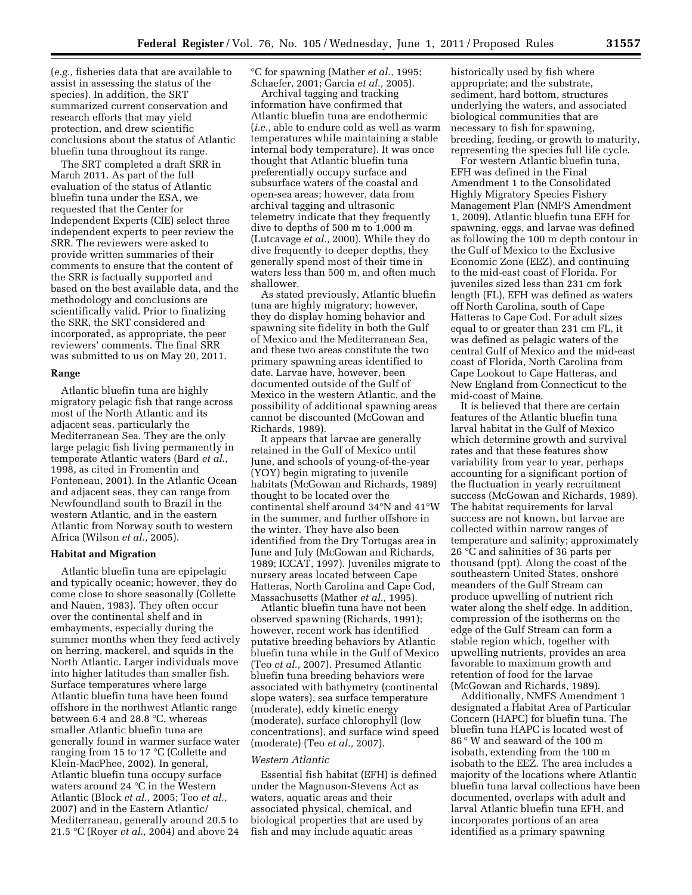(*e.g.,* fisheries data that are available to assist in assessing the status of the species). In addition, the SRT summarized current conservation and research efforts that may yield protection, and drew scientific conclusions about the status of Atlantic bluefin tuna throughout its range.

The SRT completed a draft SRR in March 2011. As part of the full evaluation of the status of Atlantic bluefin tuna under the ESA, we requested that the Center for Independent Experts (CIE) select three independent experts to peer review the SRR. The reviewers were asked to provide written summaries of their comments to ensure that the content of the SRR is factually supported and based on the best available data, and the methodology and conclusions are scientifically valid. Prior to finalizing the SRR, the SRT considered and incorporated, as appropriate, the peer reviewers' comments. The final SRR was submitted to us on May 20, 2011.

#### **Range**

Atlantic bluefin tuna are highly migratory pelagic fish that range across most of the North Atlantic and its adjacent seas, particularly the Mediterranean Sea. They are the only large pelagic fish living permanently in temperate Atlantic waters (Bard *et al.,*  1998, as cited in Fromentin and Fonteneau, 2001). In the Atlantic Ocean and adjacent seas, they can range from Newfoundland south to Brazil in the western Atlantic, and in the eastern Atlantic from Norway south to western Africa (Wilson *et al.,* 2005).

#### **Habitat and Migration**

Atlantic bluefin tuna are epipelagic and typically oceanic; however, they do come close to shore seasonally (Collette and Nauen, 1983). They often occur over the continental shelf and in embayments, especially during the summer months when they feed actively on herring, mackerel, and squids in the North Atlantic. Larger individuals move into higher latitudes than smaller fish. Surface temperatures where large Atlantic bluefin tuna have been found offshore in the northwest Atlantic range between 6.4 and 28.8 °C, whereas smaller Atlantic bluefin tuna are generally found in warmer surface water ranging from 15 to 17 °C (Collette and Klein-MacPhee, 2002). In general, Atlantic bluefin tuna occupy surface waters around 24 °C in the Western Atlantic (Block *et al.,* 2005; Teo *et al.,*  2007) and in the Eastern Atlantic/ Mediterranean, generally around 20.5 to 21.5 °C (Royer *et al.,* 2004) and above 24

°C for spawning (Mather *et al.,* 1995; Schaefer, 2001; Garcia *et al.,* 2005).

Archival tagging and tracking information have confirmed that Atlantic bluefin tuna are endothermic (*i.e.,* able to endure cold as well as warm temperatures while maintaining a stable internal body temperature). It was once thought that Atlantic bluefin tuna preferentially occupy surface and subsurface waters of the coastal and open-sea areas; however, data from archival tagging and ultrasonic telemetry indicate that they frequently dive to depths of 500 m to 1,000 m (Lutcavage *et al.,* 2000). While they do dive frequently to deeper depths, they generally spend most of their time in waters less than 500 m, and often much shallower.

As stated previously, Atlantic bluefin tuna are highly migratory; however, they do display homing behavior and spawning site fidelity in both the Gulf of Mexico and the Mediterranean Sea, and these two areas constitute the two primary spawning areas identified to date. Larvae have, however, been documented outside of the Gulf of Mexico in the western Atlantic, and the possibility of additional spawning areas cannot be discounted (McGowan and Richards, 1989).

It appears that larvae are generally retained in the Gulf of Mexico until June, and schools of young-of-the-year (YOY) begin migrating to juvenile habitats (McGowan and Richards, 1989) thought to be located over the continental shelf around 34°N and 41°W in the summer, and further offshore in the winter. They have also been identified from the Dry Tortugas area in June and July (McGowan and Richards, 1989; ICCAT, 1997). Juveniles migrate to nursery areas located between Cape Hatteras, North Carolina and Cape Cod, Massachusetts (Mather *et al.,* 1995).

Atlantic bluefin tuna have not been observed spawning (Richards, 1991); however, recent work has identified putative breeding behaviors by Atlantic bluefin tuna while in the Gulf of Mexico (Teo *et al.,* 2007). Presumed Atlantic bluefin tuna breeding behaviors were associated with bathymetry (continental slope waters), sea surface temperature (moderate), eddy kinetic energy (moderate), surface chlorophyll (low concentrations), and surface wind speed (moderate) (Teo *et al.,* 2007).

#### *Western Atlantic*

Essential fish habitat (EFH) is defined under the Magnuson-Stevens Act as waters, aquatic areas and their associated physical, chemical, and biological properties that are used by fish and may include aquatic areas

historically used by fish where appropriate; and the substrate, sediment, hard bottom, structures underlying the waters, and associated biological communities that are necessary to fish for spawning, breeding, feeding, or growth to maturity, representing the species full life cycle.

For western Atlantic bluefin tuna, EFH was defined in the Final Amendment 1 to the Consolidated Highly Migratory Species Fishery Management Plan (NMFS Amendment 1, 2009). Atlantic bluefin tuna EFH for spawning, eggs, and larvae was defined as following the 100 m depth contour in the Gulf of Mexico to the Exclusive Economic Zone (EEZ), and continuing to the mid-east coast of Florida. For juveniles sized less than 231 cm fork length (FL), EFH was defined as waters off North Carolina, south of Cape Hatteras to Cape Cod. For adult sizes equal to or greater than 231 cm FL, it was defined as pelagic waters of the central Gulf of Mexico and the mid-east coast of Florida, North Carolina from Cape Lookout to Cape Hatteras, and New England from Connecticut to the mid-coast of Maine.

It is believed that there are certain features of the Atlantic bluefin tuna larval habitat in the Gulf of Mexico which determine growth and survival rates and that these features show variability from year to year, perhaps accounting for a significant portion of the fluctuation in yearly recruitment success (McGowan and Richards, 1989). The habitat requirements for larval success are not known, but larvae are collected within narrow ranges of temperature and salinity; approximately 26 °C and salinities of 36 parts per thousand (ppt). Along the coast of the southeastern United States, onshore meanders of the Gulf Stream can produce upwelling of nutrient rich water along the shelf edge. In addition, compression of the isotherms on the edge of the Gulf Stream can form a stable region which, together with upwelling nutrients, provides an area favorable to maximum growth and retention of food for the larvae (McGowan and Richards, 1989).

Additionally, NMFS Amendment 1 designated a Habitat Area of Particular Concern (HAPC) for bluefin tuna. The bluefin tuna HAPC is located west of 86 ° W and seaward of the 100 m isobath, extending from the 100 m isobath to the EEZ. The area includes a majority of the locations where Atlantic bluefin tuna larval collections have been documented, overlaps with adult and larval Atlantic bluefin tuna EFH, and incorporates portions of an area identified as a primary spawning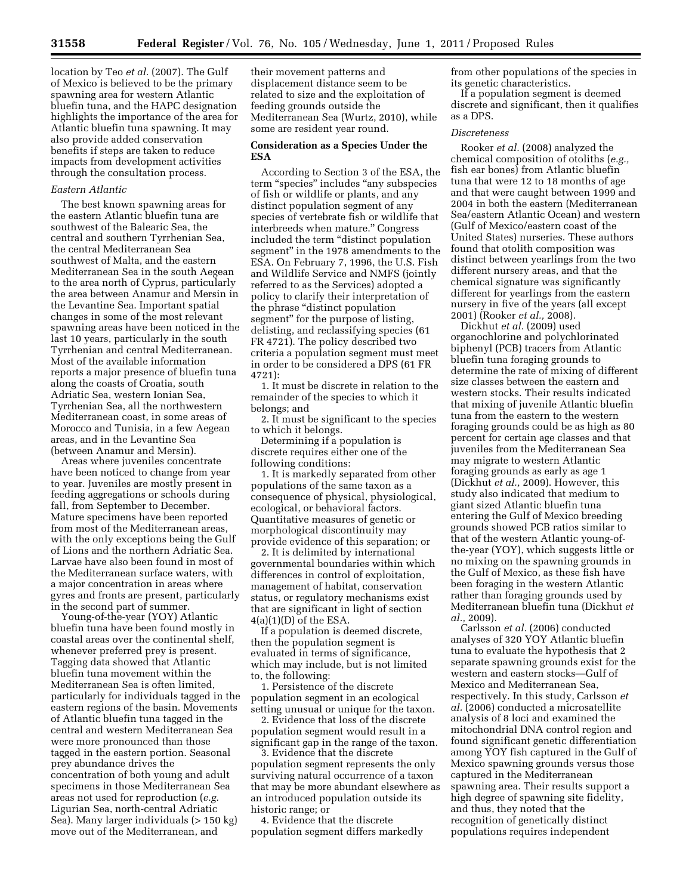location by Teo *et al.* (2007). The Gulf of Mexico is believed to be the primary spawning area for western Atlantic bluefin tuna, and the HAPC designation highlights the importance of the area for Atlantic bluefin tuna spawning. It may also provide added conservation benefits if steps are taken to reduce impacts from development activities through the consultation process.

#### *Eastern Atlantic*

The best known spawning areas for the eastern Atlantic bluefin tuna are southwest of the Balearic Sea, the central and southern Tyrrhenian Sea, the central Mediterranean Sea southwest of Malta, and the eastern Mediterranean Sea in the south Aegean to the area north of Cyprus, particularly the area between Anamur and Mersin in the Levantine Sea. Important spatial changes in some of the most relevant spawning areas have been noticed in the last 10 years, particularly in the south Tyrrhenian and central Mediterranean. Most of the available information reports a major presence of bluefin tuna along the coasts of Croatia, south Adriatic Sea, western Ionian Sea, Tyrrhenian Sea, all the northwestern Mediterranean coast, in some areas of Morocco and Tunisia, in a few Aegean areas, and in the Levantine Sea (between Anamur and Mersin).

Areas where juveniles concentrate have been noticed to change from year to year. Juveniles are mostly present in feeding aggregations or schools during fall, from September to December. Mature specimens have been reported from most of the Mediterranean areas, with the only exceptions being the Gulf of Lions and the northern Adriatic Sea. Larvae have also been found in most of the Mediterranean surface waters, with a major concentration in areas where gyres and fronts are present, particularly in the second part of summer.

Young-of-the-year (YOY) Atlantic bluefin tuna have been found mostly in coastal areas over the continental shelf, whenever preferred prey is present. Tagging data showed that Atlantic bluefin tuna movement within the Mediterranean Sea is often limited, particularly for individuals tagged in the eastern regions of the basin. Movements of Atlantic bluefin tuna tagged in the central and western Mediterranean Sea were more pronounced than those tagged in the eastern portion. Seasonal prey abundance drives the concentration of both young and adult specimens in those Mediterranean Sea areas not used for reproduction (*e.g.*  Ligurian Sea, north-central Adriatic Sea). Many larger individuals (> 150 kg) move out of the Mediterranean, and

their movement patterns and displacement distance seem to be related to size and the exploitation of feeding grounds outside the Mediterranean Sea (Wurtz, 2010), while some are resident year round.

#### **Consideration as a Species Under the ESA**

According to Section 3 of the ESA, the term "species" includes "any subspecies of fish or wildlife or plants, and any distinct population segment of any species of vertebrate fish or wildlife that interbreeds when mature.'' Congress included the term "distinct population segment'' in the 1978 amendments to the ESA. On February 7, 1996, the U.S. Fish and Wildlife Service and NMFS (jointly referred to as the Services) adopted a policy to clarify their interpretation of the phrase ''distinct population segment'' for the purpose of listing, delisting, and reclassifying species (61 FR 4721). The policy described two criteria a population segment must meet in order to be considered a DPS (61 FR 4721):

1. It must be discrete in relation to the remainder of the species to which it belongs; and

2. It must be significant to the species to which it belongs.

Determining if a population is discrete requires either one of the following conditions:

1. It is markedly separated from other populations of the same taxon as a consequence of physical, physiological, ecological, or behavioral factors. Quantitative measures of genetic or morphological discontinuity may provide evidence of this separation; or

2. It is delimited by international governmental boundaries within which differences in control of exploitation, management of habitat, conservation status, or regulatory mechanisms exist that are significant in light of section  $4(a)(1)(D)$  of the ESA.

If a population is deemed discrete, then the population segment is evaluated in terms of significance, which may include, but is not limited to, the following:

1. Persistence of the discrete population segment in an ecological setting unusual or unique for the taxon.

2. Evidence that loss of the discrete population segment would result in a significant gap in the range of the taxon.

3. Evidence that the discrete population segment represents the only surviving natural occurrence of a taxon that may be more abundant elsewhere as an introduced population outside its historic range; or

4. Evidence that the discrete population segment differs markedly from other populations of the species in its genetic characteristics.

If a population segment is deemed discrete and significant, then it qualifies as a DPS.

#### *Discreteness*

Rooker *et al.* (2008) analyzed the chemical composition of otoliths (*e.g.,*  fish ear bones) from Atlantic bluefin tuna that were 12 to 18 months of age and that were caught between 1999 and 2004 in both the eastern (Mediterranean Sea/eastern Atlantic Ocean) and western (Gulf of Mexico/eastern coast of the United States) nurseries. These authors found that otolith composition was distinct between yearlings from the two different nursery areas, and that the chemical signature was significantly different for yearlings from the eastern nursery in five of the years (all except 2001) (Rooker *et al.,* 2008).

Dickhut *et al.* (2009) used organochlorine and polychlorinated biphenyl (PCB) tracers from Atlantic bluefin tuna foraging grounds to determine the rate of mixing of different size classes between the eastern and western stocks. Their results indicated that mixing of juvenile Atlantic bluefin tuna from the eastern to the western foraging grounds could be as high as 80 percent for certain age classes and that juveniles from the Mediterranean Sea may migrate to western Atlantic foraging grounds as early as age 1 (Dickhut *et al.,* 2009). However, this study also indicated that medium to giant sized Atlantic bluefin tuna entering the Gulf of Mexico breeding grounds showed PCB ratios similar to that of the western Atlantic young-ofthe-year (YOY), which suggests little or no mixing on the spawning grounds in the Gulf of Mexico, as these fish have been foraging in the western Atlantic rather than foraging grounds used by Mediterranean bluefin tuna (Dickhut *et al.,* 2009).

Carlsson *et al.* (2006) conducted analyses of 320 YOY Atlantic bluefin tuna to evaluate the hypothesis that 2 separate spawning grounds exist for the western and eastern stocks—Gulf of Mexico and Mediterranean Sea, respectively. In this study, Carlsson *et al.* (2006) conducted a microsatellite analysis of 8 loci and examined the mitochondrial DNA control region and found significant genetic differentiation among YOY fish captured in the Gulf of Mexico spawning grounds versus those captured in the Mediterranean spawning area. Their results support a high degree of spawning site fidelity, and thus, they noted that the recognition of genetically distinct populations requires independent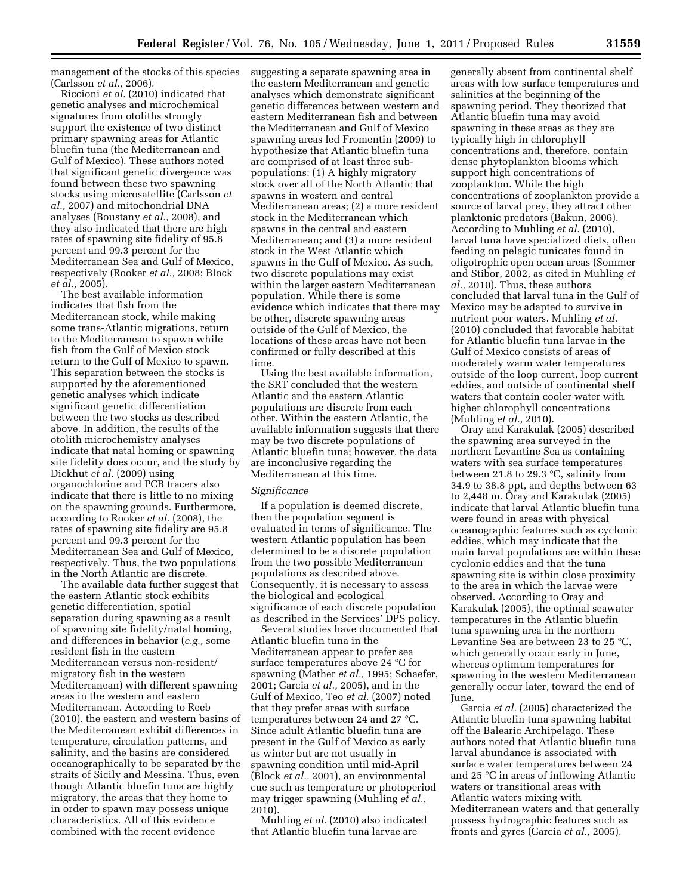management of the stocks of this species (Carlsson *et al.,* 2006).

Riccioni *et al.* (2010) indicated that genetic analyses and microchemical signatures from otoliths strongly support the existence of two distinct primary spawning areas for Atlantic bluefin tuna (the Mediterranean and Gulf of Mexico). These authors noted that significant genetic divergence was found between these two spawning stocks using microsatellite (Carlsson *et al.,* 2007) and mitochondrial DNA analyses (Boustany *et al.,* 2008), and they also indicated that there are high rates of spawning site fidelity of 95.8 percent and 99.3 percent for the Mediterranean Sea and Gulf of Mexico, respectively (Rooker *et al.,* 2008; Block *et al.,* 2005).

The best available information indicates that fish from the Mediterranean stock, while making some trans-Atlantic migrations, return to the Mediterranean to spawn while fish from the Gulf of Mexico stock return to the Gulf of Mexico to spawn. This separation between the stocks is supported by the aforementioned genetic analyses which indicate significant genetic differentiation between the two stocks as described above. In addition, the results of the otolith microchemistry analyses indicate that natal homing or spawning site fidelity does occur, and the study by Dickhut *et al.* (2009) using organochlorine and PCB tracers also indicate that there is little to no mixing on the spawning grounds. Furthermore, according to Rooker *et al.* (2008), the rates of spawning site fidelity are 95.8 percent and 99.3 percent for the Mediterranean Sea and Gulf of Mexico, respectively. Thus, the two populations in the North Atlantic are discrete.

The available data further suggest that the eastern Atlantic stock exhibits genetic differentiation, spatial separation during spawning as a result of spawning site fidelity/natal homing, and differences in behavior (*e.g.,* some resident fish in the eastern Mediterranean versus non-resident/ migratory fish in the western Mediterranean) with different spawning areas in the western and eastern Mediterranean. According to Reeb (2010), the eastern and western basins of the Mediterranean exhibit differences in temperature, circulation patterns, and salinity, and the basins are considered oceanographically to be separated by the straits of Sicily and Messina. Thus, even though Atlantic bluefin tuna are highly migratory, the areas that they home to in order to spawn may possess unique characteristics. All of this evidence combined with the recent evidence

suggesting a separate spawning area in the eastern Mediterranean and genetic analyses which demonstrate significant genetic differences between western and eastern Mediterranean fish and between the Mediterranean and Gulf of Mexico spawning areas led Fromentin (2009) to hypothesize that Atlantic bluefin tuna are comprised of at least three subpopulations: (1) A highly migratory stock over all of the North Atlantic that spawns in western and central Mediterranean areas; (2) a more resident stock in the Mediterranean which spawns in the central and eastern Mediterranean; and (3) a more resident stock in the West Atlantic which spawns in the Gulf of Mexico. As such, two discrete populations may exist within the larger eastern Mediterranean population. While there is some evidence which indicates that there may be other, discrete spawning areas outside of the Gulf of Mexico, the locations of these areas have not been confirmed or fully described at this time.

Using the best available information, the SRT concluded that the western Atlantic and the eastern Atlantic populations are discrete from each other. Within the eastern Atlantic, the available information suggests that there may be two discrete populations of Atlantic bluefin tuna; however, the data are inconclusive regarding the Mediterranean at this time.

#### *Significance*

If a population is deemed discrete, then the population segment is evaluated in terms of significance. The western Atlantic population has been determined to be a discrete population from the two possible Mediterranean populations as described above. Consequently, it is necessary to assess the biological and ecological significance of each discrete population as described in the Services' DPS policy.

Several studies have documented that Atlantic bluefin tuna in the Mediterranean appear to prefer sea surface temperatures above 24 °C for spawning (Mather *et al.,* 1995; Schaefer, 2001; Garcia *et al.,* 2005), and in the Gulf of Mexico, Teo *et al.* (2007) noted that they prefer areas with surface temperatures between 24 and 27 °C. Since adult Atlantic bluefin tuna are present in the Gulf of Mexico as early as winter but are not usually in spawning condition until mid-April (Block *et al.,* 2001), an environmental cue such as temperature or photoperiod may trigger spawning (Muhling *et al.,*  2010).

Muhling *et al.* (2010) also indicated that Atlantic bluefin tuna larvae are

generally absent from continental shelf areas with low surface temperatures and salinities at the beginning of the spawning period. They theorized that Atlantic bluefin tuna may avoid spawning in these areas as they are typically high in chlorophyll concentrations and, therefore, contain dense phytoplankton blooms which support high concentrations of zooplankton. While the high concentrations of zooplankton provide a source of larval prey, they attract other planktonic predators (Bakun, 2006). According to Muhling *et al.* (2010), larval tuna have specialized diets, often feeding on pelagic tunicates found in oligotrophic open ocean areas (Sommer and Stibor, 2002, as cited in Muhling *et al.,* 2010). Thus, these authors concluded that larval tuna in the Gulf of Mexico may be adapted to survive in nutrient poor waters. Muhling *et al.*  (2010) concluded that favorable habitat for Atlantic bluefin tuna larvae in the Gulf of Mexico consists of areas of moderately warm water temperatures outside of the loop current, loop current eddies, and outside of continental shelf waters that contain cooler water with higher chlorophyll concentrations (Muhling *et al.,* 2010).

Oray and Karakulak (2005) described the spawning area surveyed in the northern Levantine Sea as containing waters with sea surface temperatures between 21.8 to 29.3 °C, salinity from 34.9 to 38.8 ppt, and depths between 63 to 2,448 m. Oray and Karakulak (2005) indicate that larval Atlantic bluefin tuna were found in areas with physical oceanographic features such as cyclonic eddies, which may indicate that the main larval populations are within these cyclonic eddies and that the tuna spawning site is within close proximity to the area in which the larvae were observed. According to Oray and Karakulak (2005), the optimal seawater temperatures in the Atlantic bluefin tuna spawning area in the northern Levantine Sea are between 23 to 25 °C, which generally occur early in June, whereas optimum temperatures for spawning in the western Mediterranean generally occur later, toward the end of June.

Garcia *et al.* (2005) characterized the Atlantic bluefin tuna spawning habitat off the Balearic Archipelago. These authors noted that Atlantic bluefin tuna larval abundance is associated with surface water temperatures between 24 and 25 °C in areas of inflowing Atlantic waters or transitional areas with Atlantic waters mixing with Mediterranean waters and that generally possess hydrographic features such as fronts and gyres (Garcia *et al.,* 2005).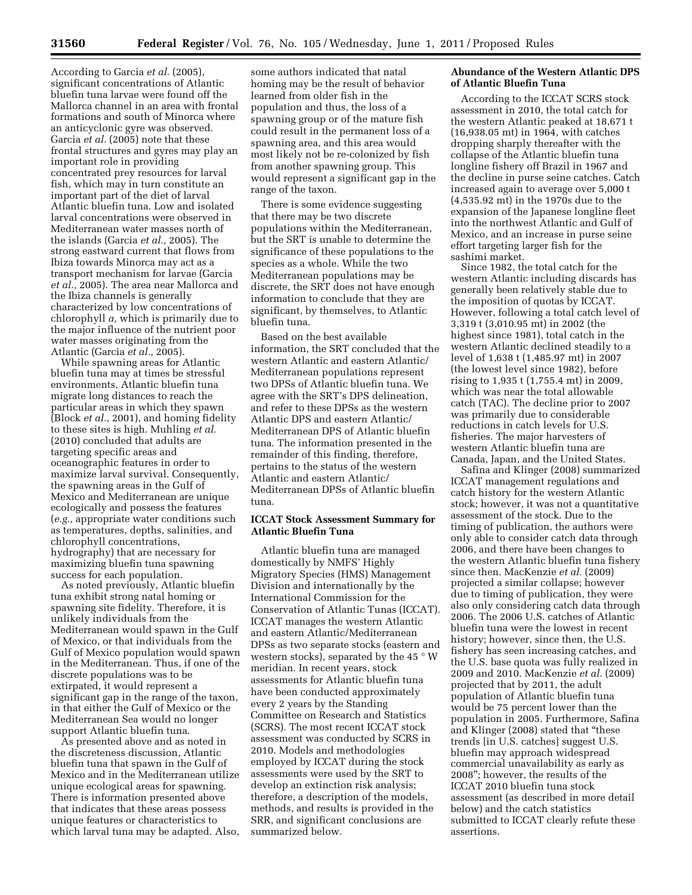According to Garcia *et al.* (2005), significant concentrations of Atlantic bluefin tuna larvae were found off the Mallorca channel in an area with frontal formations and south of Minorca where an anticyclonic gyre was observed. Garcia *et al.* (2005) note that these frontal structures and gyres may play an important role in providing concentrated prey resources for larval fish, which may in turn constitute an important part of the diet of larval Atlantic bluefin tuna. Low and isolated larval concentrations were observed in Mediterranean water masses north of the islands (Garcia *et al.,* 2005). The strong eastward current that flows from Ibiza towards Minorca may act as a transport mechanism for larvae (Garcia *et al.,* 2005). The area near Mallorca and the Ibiza channels is generally characterized by low concentrations of chlorophyll *a,* which is primarily due to the major influence of the nutrient poor water masses originating from the Atlantic (Garcia *et al.,* 2005).

While spawning areas for Atlantic bluefin tuna may at times be stressful environments, Atlantic bluefin tuna migrate long distances to reach the particular areas in which they spawn (Block *et al.,* 2001), and homing fidelity to these sites is high. Muhling *et al.*  (2010) concluded that adults are targeting specific areas and oceanographic features in order to maximize larval survival. Consequently, the spawning areas in the Gulf of Mexico and Mediterranean are unique ecologically and possess the features (*e.g.,* appropriate water conditions such as temperatures, depths, salinities, and chlorophyll concentrations, hydrography) that are necessary for maximizing bluefin tuna spawning success for each population.

As noted previously, Atlantic bluefin tuna exhibit strong natal homing or spawning site fidelity. Therefore, it is unlikely individuals from the Mediterranean would spawn in the Gulf of Mexico, or that individuals from the Gulf of Mexico population would spawn in the Mediterranean. Thus, if one of the discrete populations was to be extirpated, it would represent a significant gap in the range of the taxon, in that either the Gulf of Mexico or the Mediterranean Sea would no longer support Atlantic bluefin tuna.

As presented above and as noted in the discreteness discussion, Atlantic bluefin tuna that spawn in the Gulf of Mexico and in the Mediterranean utilize unique ecological areas for spawning. There is information presented above that indicates that these areas possess unique features or characteristics to which larval tuna may be adapted. Also,

some authors indicated that natal homing may be the result of behavior learned from older fish in the population and thus, the loss of a spawning group or of the mature fish could result in the permanent loss of a spawning area, and this area would most likely not be re-colonized by fish from another spawning group. This would represent a significant gap in the range of the taxon.

There is some evidence suggesting that there may be two discrete populations within the Mediterranean, but the SRT is unable to determine the significance of these populations to the species as a whole. While the two Mediterranean populations may be discrete, the SRT does not have enough information to conclude that they are significant, by themselves, to Atlantic bluefin tuna.

Based on the best available information, the SRT concluded that the western Atlantic and eastern Atlantic/ Mediterranean populations represent two DPSs of Atlantic bluefin tuna. We agree with the SRT's DPS delineation, and refer to these DPSs as the western Atlantic DPS and eastern Atlantic/ Mediterranean DPS of Atlantic bluefin tuna. The information presented in the remainder of this finding, therefore, pertains to the status of the western Atlantic and eastern Atlantic/ Mediterranean DPSs of Atlantic bluefin tuna.

## **ICCAT Stock Assessment Summary for Atlantic Bluefin Tuna**

Atlantic bluefin tuna are managed domestically by NMFS' Highly Migratory Species (HMS) Management Division and internationally by the International Commission for the Conservation of Atlantic Tunas (ICCAT). ICCAT manages the western Atlantic and eastern Atlantic/Mediterranean DPSs as two separate stocks (eastern and western stocks), separated by the 45  $\degree$  W meridian. In recent years, stock assessments for Atlantic bluefin tuna have been conducted approximately every 2 years by the Standing Committee on Research and Statistics (SCRS). The most recent ICCAT stock assessment was conducted by SCRS in 2010. Models and methodologies employed by ICCAT during the stock assessments were used by the SRT to develop an extinction risk analysis; therefore, a description of the models, methods, and results is provided in the SRR, and significant conclusions are summarized below.

## **Abundance of the Western Atlantic DPS of Atlantic Bluefin Tuna**

According to the ICCAT SCRS stock assessment in 2010, the total catch for the western Atlantic peaked at 18,671 t (16,938.05 mt) in 1964, with catches dropping sharply thereafter with the collapse of the Atlantic bluefin tuna longline fishery off Brazil in 1967 and the decline in purse seine catches. Catch increased again to average over 5,000 t (4,535.92 mt) in the 1970s due to the expansion of the Japanese longline fleet into the northwest Atlantic and Gulf of Mexico, and an increase in purse seine effort targeting larger fish for the sashimi market.

Since 1982, the total catch for the western Atlantic including discards has generally been relatively stable due to the imposition of quotas by ICCAT. However, following a total catch level of 3,319 t (3,010.95 mt) in 2002 (the highest since 1981), total catch in the western Atlantic declined steadily to a level of 1,638 t (1,485.97 mt) in 2007 (the lowest level since 1982), before rising to 1,935 t (1,755.4 mt) in 2009, which was near the total allowable catch (TAC). The decline prior to 2007 was primarily due to considerable reductions in catch levels for U.S. fisheries. The major harvesters of western Atlantic bluefin tuna are Canada, Japan, and the United States.

Safina and Klinger (2008) summarized ICCAT management regulations and catch history for the western Atlantic stock; however, it was not a quantitative assessment of the stock. Due to the timing of publication, the authors were only able to consider catch data through 2006, and there have been changes to the western Atlantic bluefin tuna fishery since then. MacKenzie *et al.* (2009) projected a similar collapse; however due to timing of publication, they were also only considering catch data through 2006. The 2006 U.S. catches of Atlantic bluefin tuna were the lowest in recent history; however, since then, the U.S. fishery has seen increasing catches, and the U.S. base quota was fully realized in 2009 and 2010. MacKenzie *et al.* (2009) projected that by 2011, the adult population of Atlantic bluefin tuna would be 75 percent lower than the population in 2005. Furthermore, Safina and Klinger (2008) stated that ''these trends [in U.S. catches] suggest U.S. bluefin may approach widespread commercial unavailability as early as 2008''; however, the results of the ICCAT 2010 bluefin tuna stock assessment (as described in more detail below) and the catch statistics submitted to ICCAT clearly refute these assertions.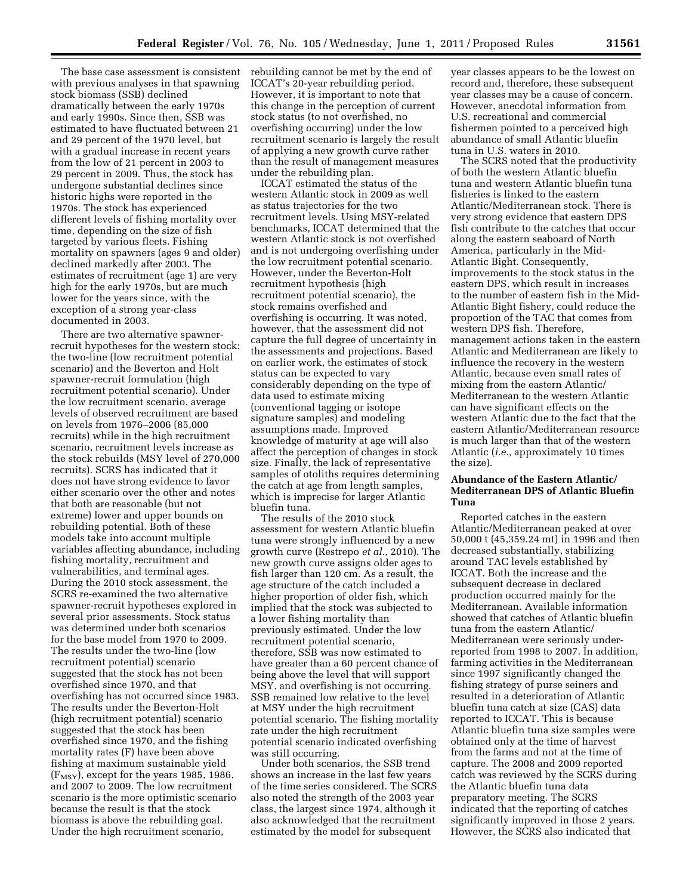with previous analyses in that spawning stock biomass (SSB) declined dramatically between the early 1970s and early 1990s. Since then, SSB was estimated to have fluctuated between 21 and 29 percent of the 1970 level, but with a gradual increase in recent years from the low of 21 percent in 2003 to 29 percent in 2009. Thus, the stock has undergone substantial declines since historic highs were reported in the 1970s. The stock has experienced different levels of fishing mortality over time, depending on the size of fish targeted by various fleets. Fishing mortality on spawners (ages 9 and older) declined markedly after 2003. The estimates of recruitment (age 1) are very high for the early 1970s, but are much lower for the years since, with the exception of a strong year-class documented in 2003.

There are two alternative spawnerrecruit hypotheses for the western stock: the two-line (low recruitment potential scenario) and the Beverton and Holt spawner-recruit formulation (high recruitment potential scenario). Under the low recruitment scenario, average levels of observed recruitment are based on levels from 1976–2006 (85,000 recruits) while in the high recruitment scenario, recruitment levels increase as the stock rebuilds (MSY level of 270,000 recruits). SCRS has indicated that it does not have strong evidence to favor either scenario over the other and notes that both are reasonable (but not extreme) lower and upper bounds on rebuilding potential. Both of these models take into account multiple variables affecting abundance, including fishing mortality, recruitment and vulnerabilities, and terminal ages. During the 2010 stock assessment, the SCRS re-examined the two alternative spawner-recruit hypotheses explored in several prior assessments. Stock status was determined under both scenarios for the base model from 1970 to 2009. The results under the two-line (low recruitment potential) scenario suggested that the stock has not been overfished since 1970, and that overfishing has not occurred since 1983. The results under the Beverton-Holt (high recruitment potential) scenario suggested that the stock has been overfished since 1970, and the fishing mortality rates (F) have been above fishing at maximum sustainable yield  $(F_{MSY})$ , except for the years 1985, 1986, and 2007 to 2009. The low recruitment scenario is the more optimistic scenario because the result is that the stock biomass is above the rebuilding goal. Under the high recruitment scenario,

The base case assessment is consistent rebuilding cannot be met by the end of ICCAT's 20-year rebuilding period. However, it is important to note that this change in the perception of current stock status (to not overfished, no overfishing occurring) under the low recruitment scenario is largely the result of applying a new growth curve rather than the result of management measures under the rebuilding plan.

> ICCAT estimated the status of the western Atlantic stock in 2009 as well as status trajectories for the two recruitment levels. Using MSY-related benchmarks, ICCAT determined that the western Atlantic stock is not overfished and is not undergoing overfishing under the low recruitment potential scenario. However, under the Beverton-Holt recruitment hypothesis (high recruitment potential scenario), the stock remains overfished and overfishing is occurring. It was noted, however, that the assessment did not capture the full degree of uncertainty in the assessments and projections. Based on earlier work, the estimates of stock status can be expected to vary considerably depending on the type of data used to estimate mixing (conventional tagging or isotope signature samples) and modeling assumptions made. Improved knowledge of maturity at age will also affect the perception of changes in stock size. Finally, the lack of representative samples of otoliths requires determining the catch at age from length samples, which is imprecise for larger Atlantic bluefin tuna.

> The results of the 2010 stock assessment for western Atlantic bluefin tuna were strongly influenced by a new growth curve (Restrepo *et al.,* 2010). The new growth curve assigns older ages to fish larger than 120 cm. As a result, the age structure of the catch included a higher proportion of older fish, which implied that the stock was subjected to a lower fishing mortality than previously estimated. Under the low recruitment potential scenario, therefore, SSB was now estimated to have greater than a 60 percent chance of being above the level that will support MSY, and overfishing is not occurring. SSB remained low relative to the level at MSY under the high recruitment potential scenario. The fishing mortality rate under the high recruitment potential scenario indicated overfishing was still occurring.

Under both scenarios, the SSB trend shows an increase in the last few years of the time series considered. The SCRS also noted the strength of the 2003 year class, the largest since 1974, although it also acknowledged that the recruitment estimated by the model for subsequent

year classes appears to be the lowest on record and, therefore, these subsequent year classes may be a cause of concern. However, anecdotal information from U.S. recreational and commercial fishermen pointed to a perceived high abundance of small Atlantic bluefin tuna in U.S. waters in 2010.

The SCRS noted that the productivity of both the western Atlantic bluefin tuna and western Atlantic bluefin tuna fisheries is linked to the eastern Atlantic/Mediterranean stock. There is very strong evidence that eastern DPS fish contribute to the catches that occur along the eastern seaboard of North America, particularly in the Mid-Atlantic Bight. Consequently, improvements to the stock status in the eastern DPS, which result in increases to the number of eastern fish in the Mid-Atlantic Bight fishery, could reduce the proportion of the TAC that comes from western DPS fish. Therefore, management actions taken in the eastern Atlantic and Mediterranean are likely to influence the recovery in the western Atlantic, because even small rates of mixing from the eastern Atlantic/ Mediterranean to the western Atlantic can have significant effects on the western Atlantic due to the fact that the eastern Atlantic/Mediterranean resource is much larger than that of the western Atlantic (*i.e.,* approximately 10 times the size).

### **Abundance of the Eastern Atlantic/ Mediterranean DPS of Atlantic Bluefin Tuna**

Reported catches in the eastern Atlantic/Mediterranean peaked at over 50,000 t (45,359.24 mt) in 1996 and then decreased substantially, stabilizing around TAC levels established by ICCAT. Both the increase and the subsequent decrease in declared production occurred mainly for the Mediterranean. Available information showed that catches of Atlantic bluefin tuna from the eastern Atlantic/ Mediterranean were seriously underreported from 1998 to 2007. In addition, farming activities in the Mediterranean since 1997 significantly changed the fishing strategy of purse seiners and resulted in a deterioration of Atlantic bluefin tuna catch at size (CAS) data reported to ICCAT. This is because Atlantic bluefin tuna size samples were obtained only at the time of harvest from the farms and not at the time of capture. The 2008 and 2009 reported catch was reviewed by the SCRS during the Atlantic bluefin tuna data preparatory meeting. The SCRS indicated that the reporting of catches significantly improved in those 2 years. However, the SCRS also indicated that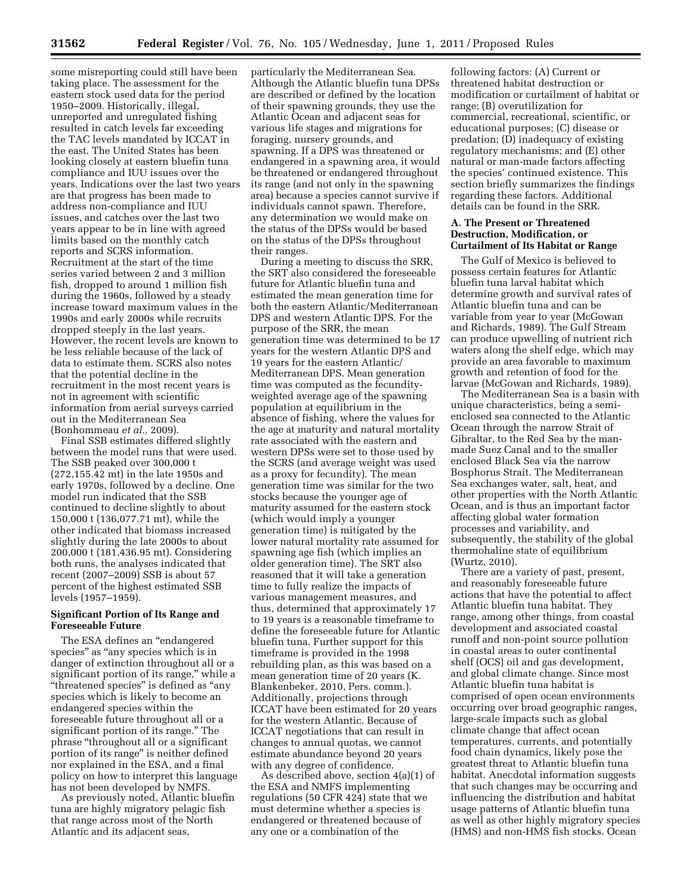some misreporting could still have been taking place. The assessment for the eastern stock used data for the period 1950–2009. Historically, illegal, unreported and unregulated fishing resulted in catch levels far exceeding the TAC levels mandated by ICCAT in the east. The United States has been looking closely at eastern bluefin tuna compliance and IUU issues over the years. Indications over the last two years are that progress has been made to address non-compliance and IUU issues, and catches over the last two years appear to be in line with agreed limits based on the monthly catch reports and SCRS information. Recruitment at the start of the time series varied between 2 and 3 million fish, dropped to around 1 million fish during the 1960s, followed by a steady increase toward maximum values in the 1990s and early 2000s while recruits dropped steeply in the last years. However, the recent levels are known to be less reliable because of the lack of data to estimate them. SCRS also notes that the potential decline in the recruitment in the most recent years is not in agreement with scientific information from aerial surveys carried out in the Mediterranean Sea (Bonhommeau *et al.,* 2009).

Final SSB estimates differed slightly between the model runs that were used. The SSB peaked over 300,000 t (272,155.42 mt) in the late 1950s and early 1970s, followed by a decline. One model run indicated that the SSB continued to decline slightly to about 150,000 t (136,077.71 mt), while the other indicated that biomass increased slightly during the late 2000s to about 200,000 t (181,436.95 mt). Considering both runs, the analyses indicated that recent (2007–2009) SSB is about 57 percent of the highest estimated SSB levels (1957–1959).

## **Significant Portion of Its Range and Foreseeable Future**

The ESA defines an ''endangered species" as "any species which is in danger of extinction throughout all or a significant portion of its range,'' while a ''threatened species'' is defined as ''any species which is likely to become an endangered species within the foreseeable future throughout all or a significant portion of its range.'' The phrase ''throughout all or a significant portion of its range'' is neither defined nor explained in the ESA, and a final policy on how to interpret this language has not been developed by NMFS.

As previously noted, Atlantic bluefin tuna are highly migratory pelagic fish that range across most of the North Atlantic and its adjacent seas,

particularly the Mediterranean Sea. Although the Atlantic bluefin tuna DPSs are described or defined by the location of their spawning grounds, they use the Atlantic Ocean and adjacent seas for various life stages and migrations for foraging, nursery grounds, and spawning. If a DPS was threatened or endangered in a spawning area, it would be threatened or endangered throughout its range (and not only in the spawning area) because a species cannot survive if individuals cannot spawn. Therefore, any determination we would make on the status of the DPSs would be based on the status of the DPSs throughout their ranges.

During a meeting to discuss the SRR, the SRT also considered the foreseeable future for Atlantic bluefin tuna and estimated the mean generation time for both the eastern Atlantic/Mediterranean DPS and western Atlantic DPS. For the purpose of the SRR, the mean generation time was determined to be 17 years for the western Atlantic DPS and 19 years for the eastern Atlantic/ Mediterranean DPS. Mean generation time was computed as the fecundityweighted average age of the spawning population at equilibrium in the absence of fishing, where the values for the age at maturity and natural mortality rate associated with the eastern and western DPSs were set to those used by the SCRS (and average weight was used as a proxy for fecundity). The mean generation time was similar for the two stocks because the younger age of maturity assumed for the eastern stock (which would imply a younger generation time) is mitigated by the lower natural mortality rate assumed for spawning age fish (which implies an older generation time). The SRT also reasoned that it will take a generation time to fully realize the impacts of various management measures, and thus, determined that approximately 17 to 19 years is a reasonable timeframe to define the foreseeable future for Atlantic bluefin tuna. Further support for this timeframe is provided in the 1998 rebuilding plan, as this was based on a mean generation time of 20 years (K. Blankenbeker, 2010, Pers. comm.). Additionally, projections through ICCAT have been estimated for 20 years for the western Atlantic. Because of ICCAT negotiations that can result in changes to annual quotas, we cannot estimate abundance beyond 20 years with any degree of confidence.

As described above, section 4(a)(1) of the ESA and NMFS implementing regulations (50 CFR 424) state that we must determine whether a species is endangered or threatened because of any one or a combination of the

following factors: (A) Current or threatened habitat destruction or modification or curtailment of habitat or range; (B) overutilization for commercial, recreational, scientific, or educational purposes; (C) disease or predation; (D) inadequacy of existing regulatory mechanisms; and (E) other natural or man-made factors affecting the species' continued existence. This section briefly summarizes the findings regarding these factors. Additional details can be found in the SRR.

## **A. The Present or Threatened Destruction, Modification, or Curtailment of Its Habitat or Range**

The Gulf of Mexico is believed to possess certain features for Atlantic bluefin tuna larval habitat which determine growth and survival rates of Atlantic bluefin tuna and can be variable from year to year (McGowan and Richards, 1989). The Gulf Stream can produce upwelling of nutrient rich waters along the shelf edge, which may provide an area favorable to maximum growth and retention of food for the larvae (McGowan and Richards, 1989).

The Mediterranean Sea is a basin with unique characteristics, being a semienclosed sea connected to the Atlantic Ocean through the narrow Strait of Gibraltar, to the Red Sea by the manmade Suez Canal and to the smaller enclosed Black Sea via the narrow Bosphorus Strait. The Mediterranean Sea exchanges water, salt, heat, and other properties with the North Atlantic Ocean, and is thus an important factor affecting global water formation processes and variability, and subsequently, the stability of the global thermohaline state of equilibrium (Wurtz, 2010).

There are a variety of past, present, and reasonably foreseeable future actions that have the potential to affect Atlantic bluefin tuna habitat. They range, among other things, from coastal development and associated coastal runoff and non-point source pollution in coastal areas to outer continental shelf (OCS) oil and gas development, and global climate change. Since most Atlantic bluefin tuna habitat is comprised of open ocean environments occurring over broad geographic ranges, large-scale impacts such as global climate change that affect ocean temperatures, currents, and potentially food chain dynamics, likely pose the greatest threat to Atlantic bluefin tuna habitat. Anecdotal information suggests that such changes may be occurring and influencing the distribution and habitat usage patterns of Atlantic bluefin tuna as well as other highly migratory species (HMS) and non-HMS fish stocks. Ocean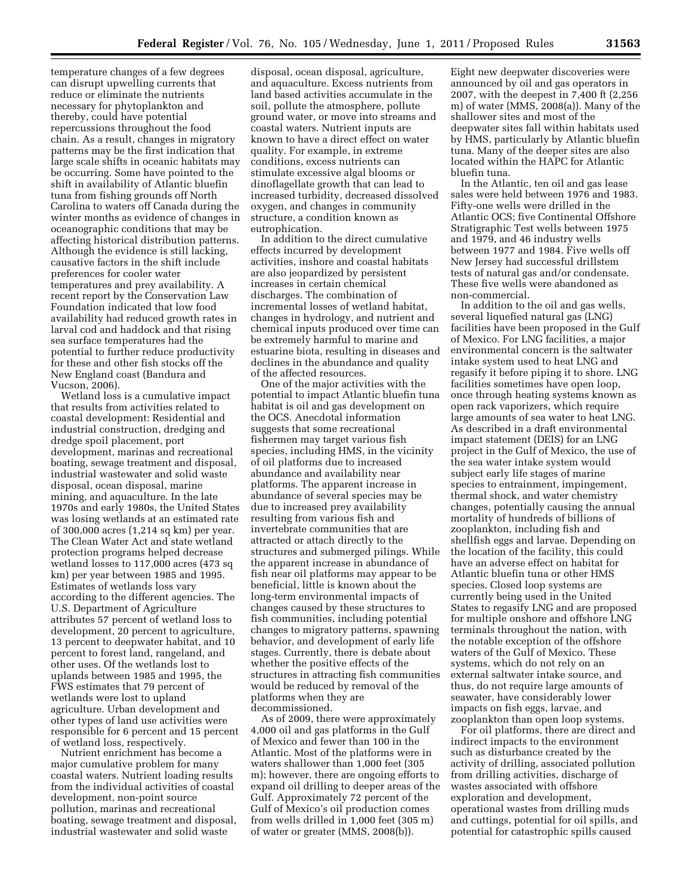temperature changes of a few degrees can disrupt upwelling currents that reduce or eliminate the nutrients necessary for phytoplankton and thereby, could have potential repercussions throughout the food chain. As a result, changes in migratory patterns may be the first indication that large scale shifts in oceanic habitats may be occurring. Some have pointed to the shift in availability of Atlantic bluefin tuna from fishing grounds off North Carolina to waters off Canada during the winter months as evidence of changes in oceanographic conditions that may be affecting historical distribution patterns. Although the evidence is still lacking, causative factors in the shift include preferences for cooler water temperatures and prey availability. A recent report by the Conservation Law Foundation indicated that low food availability had reduced growth rates in larval cod and haddock and that rising sea surface temperatures had the potential to further reduce productivity for these and other fish stocks off the New England coast (Bandura and Vucson, 2006).

Wetland loss is a cumulative impact that results from activities related to coastal development: Residential and industrial construction, dredging and dredge spoil placement, port development, marinas and recreational boating, sewage treatment and disposal, industrial wastewater and solid waste disposal, ocean disposal, marine mining, and aquaculture. In the late 1970s and early 1980s, the United States was losing wetlands at an estimated rate of 300,000 acres (1,214 sq km) per year. The Clean Water Act and state wetland protection programs helped decrease wetland losses to 117,000 acres (473 sq km) per year between 1985 and 1995. Estimates of wetlands loss vary according to the different agencies. The U.S. Department of Agriculture attributes 57 percent of wetland loss to development, 20 percent to agriculture, 13 percent to deepwater habitat, and 10 percent to forest land, rangeland, and other uses. Of the wetlands lost to uplands between 1985 and 1995, the FWS estimates that 79 percent of wetlands were lost to upland agriculture. Urban development and other types of land use activities were responsible for 6 percent and 15 percent of wetland loss, respectively.

Nutrient enrichment has become a major cumulative problem for many coastal waters. Nutrient loading results from the individual activities of coastal development, non-point source pollution, marinas and recreational boating, sewage treatment and disposal, industrial wastewater and solid waste

disposal, ocean disposal, agriculture, and aquaculture. Excess nutrients from land based activities accumulate in the soil, pollute the atmosphere, pollute ground water, or move into streams and coastal waters. Nutrient inputs are known to have a direct effect on water quality. For example, in extreme conditions, excess nutrients can stimulate excessive algal blooms or dinoflagellate growth that can lead to increased turbidity, decreased dissolved oxygen, and changes in community structure, a condition known as eutrophication.

In addition to the direct cumulative effects incurred by development activities, inshore and coastal habitats are also jeopardized by persistent increases in certain chemical discharges. The combination of incremental losses of wetland habitat, changes in hydrology, and nutrient and chemical inputs produced over time can be extremely harmful to marine and estuarine biota, resulting in diseases and declines in the abundance and quality of the affected resources.

One of the major activities with the potential to impact Atlantic bluefin tuna habitat is oil and gas development on the OCS. Anecdotal information suggests that some recreational fishermen may target various fish species, including HMS, in the vicinity of oil platforms due to increased abundance and availability near platforms. The apparent increase in abundance of several species may be due to increased prey availability resulting from various fish and invertebrate communities that are attracted or attach directly to the structures and submerged pilings. While the apparent increase in abundance of fish near oil platforms may appear to be beneficial, little is known about the long-term environmental impacts of changes caused by these structures to fish communities, including potential changes to migratory patterns, spawning behavior, and development of early life stages. Currently, there is debate about whether the positive effects of the structures in attracting fish communities would be reduced by removal of the platforms when they are decommissioned.

As of 2009, there were approximately 4,000 oil and gas platforms in the Gulf of Mexico and fewer than 100 in the Atlantic. Most of the platforms were in waters shallower than 1,000 feet (305 m); however, there are ongoing efforts to expand oil drilling to deeper areas of the Gulf. Approximately 72 percent of the Gulf of Mexico's oil production comes from wells drilled in 1,000 feet (305 m) of water or greater (MMS, 2008(b)).

Eight new deepwater discoveries were announced by oil and gas operators in 2007, with the deepest in 7,400 ft (2,256 m) of water (MMS, 2008(a)). Many of the shallower sites and most of the deepwater sites fall within habitats used by HMS, particularly by Atlantic bluefin tuna. Many of the deeper sites are also located within the HAPC for Atlantic bluefin tuna.

In the Atlantic, ten oil and gas lease sales were held between 1976 and 1983. Fifty-one wells were drilled in the Atlantic OCS; five Continental Offshore Stratigraphic Test wells between 1975 and 1979, and 46 industry wells between 1977 and 1984. Five wells off New Jersey had successful drillstem tests of natural gas and/or condensate. These five wells were abandoned as non-commercial.

In addition to the oil and gas wells, several liquefied natural gas (LNG) facilities have been proposed in the Gulf of Mexico. For LNG facilities, a major environmental concern is the saltwater intake system used to heat LNG and regasify it before piping it to shore. LNG facilities sometimes have open loop, once through heating systems known as open rack vaporizers, which require large amounts of sea water to heat LNG. As described in a draft environmental impact statement (DEIS) for an LNG project in the Gulf of Mexico, the use of the sea water intake system would subject early life stages of marine species to entrainment, impingement, thermal shock, and water chemistry changes, potentially causing the annual mortality of hundreds of billions of zooplankton, including fish and shellfish eggs and larvae. Depending on the location of the facility, this could have an adverse effect on habitat for Atlantic bluefin tuna or other HMS species. Closed loop systems are currently being used in the United States to regasify LNG and are proposed for multiple onshore and offshore LNG terminals throughout the nation, with the notable exception of the offshore waters of the Gulf of Mexico. These systems, which do not rely on an external saltwater intake source, and thus, do not require large amounts of seawater, have considerably lower impacts on fish eggs, larvae, and zooplankton than open loop systems.

For oil platforms, there are direct and indirect impacts to the environment such as disturbance created by the activity of drilling, associated pollution from drilling activities, discharge of wastes associated with offshore exploration and development, operational wastes from drilling muds and cuttings, potential for oil spills, and potential for catastrophic spills caused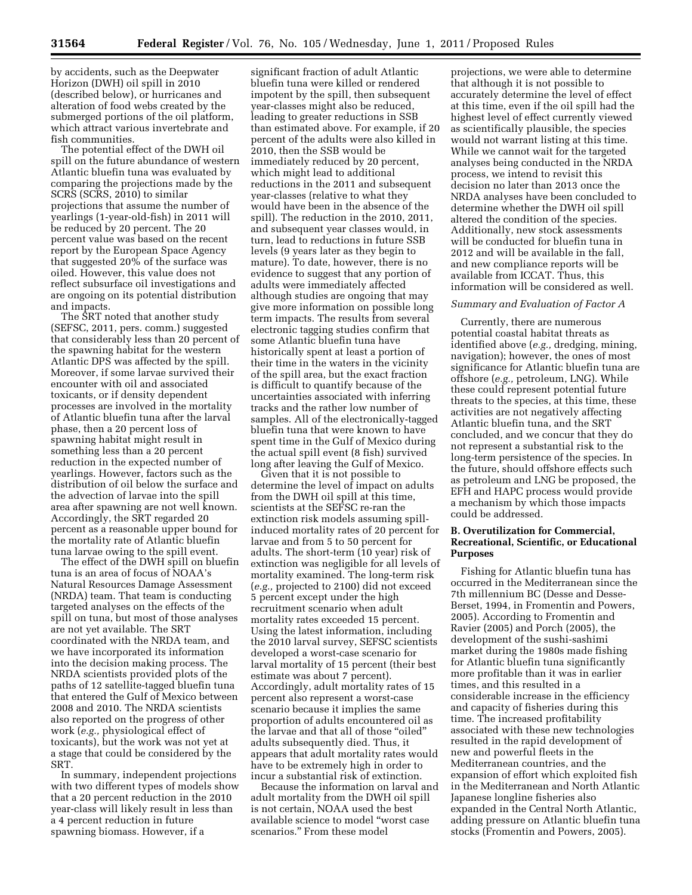by accidents, such as the Deepwater Horizon (DWH) oil spill in 2010 (described below), or hurricanes and alteration of food webs created by the submerged portions of the oil platform, which attract various invertebrate and fish communities.

The potential effect of the DWH oil spill on the future abundance of western Atlantic bluefin tuna was evaluated by comparing the projections made by the SCRS (SCRS, 2010) to similar projections that assume the number of yearlings (1-year-old-fish) in 2011 will be reduced by 20 percent. The 20 percent value was based on the recent report by the European Space Agency that suggested 20% of the surface was oiled. However, this value does not reflect subsurface oil investigations and are ongoing on its potential distribution and impacts.

The SRT noted that another study (SEFSC, 2011, pers. comm.) suggested that considerably less than 20 percent of the spawning habitat for the western Atlantic DPS was affected by the spill. Moreover, if some larvae survived their encounter with oil and associated toxicants, or if density dependent processes are involved in the mortality of Atlantic bluefin tuna after the larval phase, then a 20 percent loss of spawning habitat might result in something less than a 20 percent reduction in the expected number of yearlings. However, factors such as the distribution of oil below the surface and the advection of larvae into the spill area after spawning are not well known. Accordingly, the SRT regarded 20 percent as a reasonable upper bound for the mortality rate of Atlantic bluefin tuna larvae owing to the spill event.

The effect of the DWH spill on bluefin tuna is an area of focus of NOAA's Natural Resources Damage Assessment (NRDA) team. That team is conducting targeted analyses on the effects of the spill on tuna, but most of those analyses are not yet available. The SRT coordinated with the NRDA team, and we have incorporated its information into the decision making process. The NRDA scientists provided plots of the paths of 12 satellite-tagged bluefin tuna that entered the Gulf of Mexico between 2008 and 2010. The NRDA scientists also reported on the progress of other work (*e.g.,* physiological effect of toxicants), but the work was not yet at a stage that could be considered by the SRT.

In summary, independent projections with two different types of models show that a 20 percent reduction in the 2010 year-class will likely result in less than a 4 percent reduction in future spawning biomass. However, if a

significant fraction of adult Atlantic bluefin tuna were killed or rendered impotent by the spill, then subsequent year-classes might also be reduced, leading to greater reductions in SSB than estimated above. For example, if 20 percent of the adults were also killed in 2010, then the SSB would be immediately reduced by 20 percent, which might lead to additional reductions in the 2011 and subsequent year-classes (relative to what they would have been in the absence of the spill). The reduction in the 2010, 2011, and subsequent year classes would, in turn, lead to reductions in future SSB levels (9 years later as they begin to mature). To date, however, there is no evidence to suggest that any portion of adults were immediately affected although studies are ongoing that may give more information on possible long term impacts. The results from several electronic tagging studies confirm that some Atlantic bluefin tuna have historically spent at least a portion of their time in the waters in the vicinity of the spill area, but the exact fraction is difficult to quantify because of the uncertainties associated with inferring tracks and the rather low number of samples. All of the electronically-tagged bluefin tuna that were known to have spent time in the Gulf of Mexico during the actual spill event (8 fish) survived long after leaving the Gulf of Mexico.

Given that it is not possible to determine the level of impact on adults from the DWH oil spill at this time, scientists at the SEFSC re-ran the extinction risk models assuming spillinduced mortality rates of 20 percent for larvae and from 5 to 50 percent for adults. The short-term (10 year) risk of extinction was negligible for all levels of mortality examined. The long-term risk (*e.g.,* projected to 2100) did not exceed 5 percent except under the high recruitment scenario when adult mortality rates exceeded 15 percent. Using the latest information, including the 2010 larval survey, SEFSC scientists developed a worst-case scenario for larval mortality of 15 percent (their best estimate was about 7 percent). Accordingly, adult mortality rates of 15 percent also represent a worst-case scenario because it implies the same proportion of adults encountered oil as the larvae and that all of those ''oiled'' adults subsequently died. Thus, it appears that adult mortality rates would have to be extremely high in order to incur a substantial risk of extinction.

Because the information on larval and adult mortality from the DWH oil spill is not certain, NOAA used the best available science to model ''worst case scenarios.'' From these model

projections, we were able to determine that although it is not possible to accurately determine the level of effect at this time, even if the oil spill had the highest level of effect currently viewed as scientifically plausible, the species would not warrant listing at this time. While we cannot wait for the targeted analyses being conducted in the NRDA process, we intend to revisit this decision no later than 2013 once the NRDA analyses have been concluded to determine whether the DWH oil spill altered the condition of the species. Additionally, new stock assessments will be conducted for bluefin tuna in 2012 and will be available in the fall, and new compliance reports will be available from ICCAT. Thus, this information will be considered as well.

## *Summary and Evaluation of Factor A*

Currently, there are numerous potential coastal habitat threats as identified above (*e.g.,* dredging, mining, navigation); however, the ones of most significance for Atlantic bluefin tuna are offshore (*e.g.,* petroleum, LNG). While these could represent potential future threats to the species, at this time, these activities are not negatively affecting Atlantic bluefin tuna, and the SRT concluded, and we concur that they do not represent a substantial risk to the long-term persistence of the species. In the future, should offshore effects such as petroleum and LNG be proposed, the EFH and HAPC process would provide a mechanism by which those impacts could be addressed.

#### **B. Overutilization for Commercial, Recreational, Scientific, or Educational Purposes**

Fishing for Atlantic bluefin tuna has occurred in the Mediterranean since the 7th millennium BC (Desse and Desse-Berset, 1994, in Fromentin and Powers, 2005). According to Fromentin and Ravier (2005) and Porch (2005), the development of the sushi-sashimi market during the 1980s made fishing for Atlantic bluefin tuna significantly more profitable than it was in earlier times, and this resulted in a considerable increase in the efficiency and capacity of fisheries during this time. The increased profitability associated with these new technologies resulted in the rapid development of new and powerful fleets in the Mediterranean countries, and the expansion of effort which exploited fish in the Mediterranean and North Atlantic Japanese longline fisheries also expanded in the Central North Atlantic, adding pressure on Atlantic bluefin tuna stocks (Fromentin and Powers, 2005).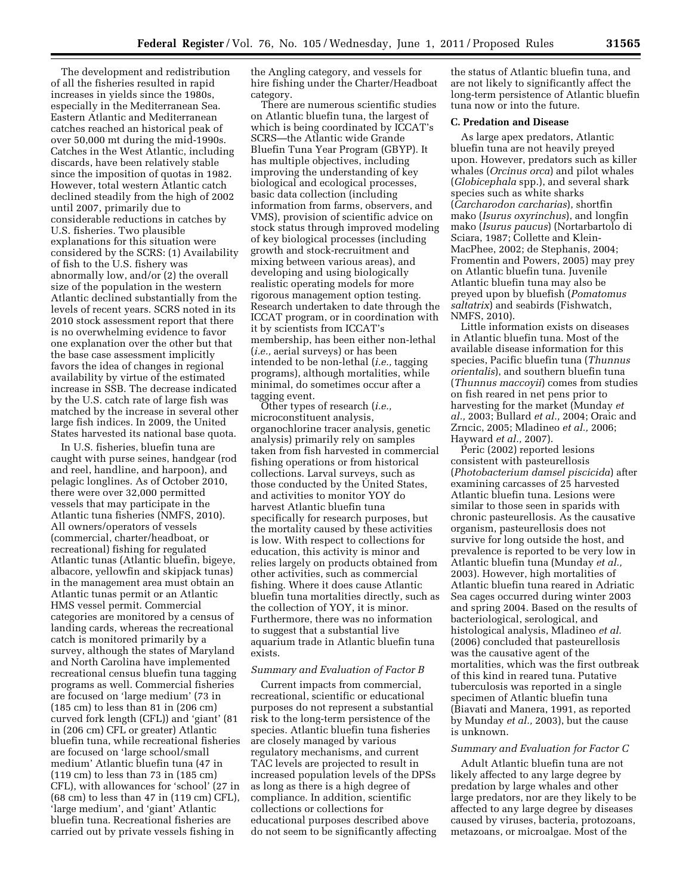The development and redistribution of all the fisheries resulted in rapid increases in yields since the 1980s, especially in the Mediterranean Sea. Eastern Atlantic and Mediterranean catches reached an historical peak of over 50,000 mt during the mid-1990s. Catches in the West Atlantic, including discards, have been relatively stable since the imposition of quotas in 1982. However, total western Atlantic catch declined steadily from the high of 2002 until 2007, primarily due to considerable reductions in catches by U.S. fisheries. Two plausible explanations for this situation were considered by the SCRS: (1) Availability of fish to the U.S. fishery was abnormally low, and/or (2) the overall size of the population in the western Atlantic declined substantially from the levels of recent years. SCRS noted in its 2010 stock assessment report that there is no overwhelming evidence to favor one explanation over the other but that the base case assessment implicitly favors the idea of changes in regional availability by virtue of the estimated increase in SSB. The decrease indicated by the U.S. catch rate of large fish was matched by the increase in several other large fish indices. In 2009, the United States harvested its national base quota.

In U.S. fisheries, bluefin tuna are caught with purse seines, handgear (rod and reel, handline, and harpoon), and pelagic longlines. As of October 2010, there were over 32,000 permitted vessels that may participate in the Atlantic tuna fisheries (NMFS, 2010). All owners/operators of vessels (commercial, charter/headboat, or recreational) fishing for regulated Atlantic tunas (Atlantic bluefin, bigeye, albacore, yellowfin and skipjack tunas) in the management area must obtain an Atlantic tunas permit or an Atlantic HMS vessel permit. Commercial categories are monitored by a census of landing cards, whereas the recreational catch is monitored primarily by a survey, although the states of Maryland and North Carolina have implemented recreational census bluefin tuna tagging programs as well. Commercial fisheries are focused on 'large medium' (73 in (185 cm) to less than 81 in (206 cm) curved fork length (CFL)) and 'giant' (81 in (206 cm) CFL or greater) Atlantic bluefin tuna, while recreational fisheries are focused on 'large school/small medium' Atlantic bluefin tuna (47 in (119 cm) to less than 73 in (185 cm) CFL), with allowances for 'school' (27 in (68 cm) to less than 47 in (119 cm) CFL), 'large medium', and 'giant' Atlantic bluefin tuna. Recreational fisheries are carried out by private vessels fishing in

the Angling category, and vessels for hire fishing under the Charter/Headboat category.

There are numerous scientific studies on Atlantic bluefin tuna, the largest of which is being coordinated by ICCAT's SCRS—the Atlantic wide Grande Bluefin Tuna Year Program (GBYP). It has multiple objectives, including improving the understanding of key biological and ecological processes, basic data collection (including information from farms, observers, and VMS), provision of scientific advice on stock status through improved modeling of key biological processes (including growth and stock-recruitment and mixing between various areas), and developing and using biologically realistic operating models for more rigorous management option testing. Research undertaken to date through the ICCAT program, or in coordination with it by scientists from ICCAT's membership, has been either non-lethal (*i.e.,* aerial surveys) or has been intended to be non-lethal (*i.e.,* tagging programs), although mortalities, while minimal, do sometimes occur after a tagging event.

Other types of research (*i.e.,*  microconstituent analysis, organochlorine tracer analysis, genetic analysis) primarily rely on samples taken from fish harvested in commercial fishing operations or from historical collections. Larval surveys, such as those conducted by the United States, and activities to monitor YOY do harvest Atlantic bluefin tuna specifically for research purposes, but the mortality caused by these activities is low. With respect to collections for education, this activity is minor and relies largely on products obtained from other activities, such as commercial fishing. Where it does cause Atlantic bluefin tuna mortalities directly, such as the collection of YOY, it is minor. Furthermore, there was no information to suggest that a substantial live aquarium trade in Atlantic bluefin tuna exists.

#### *Summary and Evaluation of Factor B*

Current impacts from commercial, recreational, scientific or educational purposes do not represent a substantial risk to the long-term persistence of the species. Atlantic bluefin tuna fisheries are closely managed by various regulatory mechanisms, and current TAC levels are projected to result in increased population levels of the DPSs as long as there is a high degree of compliance. In addition, scientific collections or collections for educational purposes described above do not seem to be significantly affecting

the status of Atlantic bluefin tuna, and are not likely to significantly affect the long-term persistence of Atlantic bluefin tuna now or into the future.

#### **C. Predation and Disease**

As large apex predators, Atlantic bluefin tuna are not heavily preyed upon. However, predators such as killer whales (*Orcinus orca*) and pilot whales (*Globicephala* spp.), and several shark species such as white sharks (*Carcharodon carcharias*), shortfin mako (*Isurus oxyrinchus*), and longfin mako (*Isurus paucus*) (Nortarbartolo di Sciara, 1987; Collette and Klein-MacPhee, 2002; de Stephanis, 2004; Fromentin and Powers, 2005) may prey on Atlantic bluefin tuna. Juvenile Atlantic bluefin tuna may also be preyed upon by bluefish (*Pomatomus saltatrix*) and seabirds (Fishwatch, NMFS, 2010).

Little information exists on diseases in Atlantic bluefin tuna. Most of the available disease information for this species, Pacific bluefin tuna (*Thunnus orientalis*), and southern bluefin tuna (*Thunnus maccoyii*) comes from studies on fish reared in net pens prior to harvesting for the market (Munday *et al.,* 2003; Bullard *et al.,* 2004; Oraic and Zrncic, 2005; Mladineo *et al.,* 2006; Hayward *et al.,* 2007).

Peric (2002) reported lesions consistent with pasteurellosis (*Photobacterium damsel piscicida*) after examining carcasses of 25 harvested Atlantic bluefin tuna. Lesions were similar to those seen in sparids with chronic pasteurellosis. As the causative organism, pasteurellosis does not survive for long outside the host, and prevalence is reported to be very low in Atlantic bluefin tuna (Munday *et al.,*  2003). However, high mortalities of Atlantic bluefin tuna reared in Adriatic Sea cages occurred during winter 2003 and spring 2004. Based on the results of bacteriological, serological, and histological analysis, Mladineo *et al.*  (2006) concluded that pasteurellosis was the causative agent of the mortalities, which was the first outbreak of this kind in reared tuna. Putative tuberculosis was reported in a single specimen of Atlantic bluefin tuna (Biavati and Manera, 1991, as reported by Munday *et al.,* 2003), but the cause is unknown.

# *Summary and Evaluation for Factor C*

Adult Atlantic bluefin tuna are not likely affected to any large degree by predation by large whales and other large predators, nor are they likely to be affected to any large degree by diseases caused by viruses, bacteria, protozoans, metazoans, or microalgae. Most of the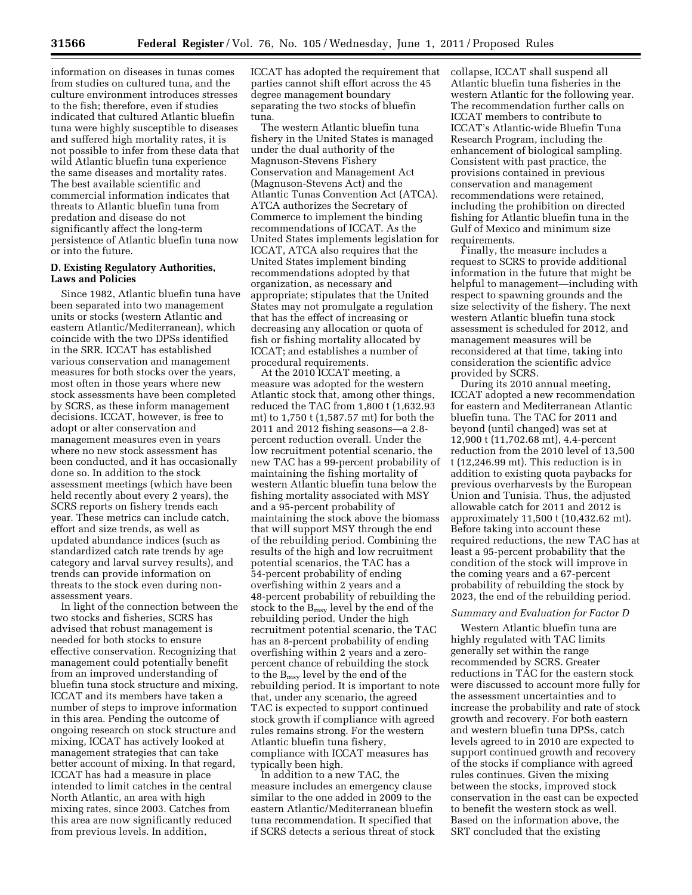information on diseases in tunas comes from studies on cultured tuna, and the culture environment introduces stresses to the fish; therefore, even if studies indicated that cultured Atlantic bluefin tuna were highly susceptible to diseases and suffered high mortality rates, it is not possible to infer from these data that wild Atlantic bluefin tuna experience the same diseases and mortality rates. The best available scientific and commercial information indicates that threats to Atlantic bluefin tuna from predation and disease do not significantly affect the long-term persistence of Atlantic bluefin tuna now or into the future.

## **D. Existing Regulatory Authorities, Laws and Policies**

Since 1982, Atlantic bluefin tuna have been separated into two management units or stocks (western Atlantic and eastern Atlantic/Mediterranean), which coincide with the two DPSs identified in the SRR. ICCAT has established various conservation and management measures for both stocks over the years, most often in those years where new stock assessments have been completed by SCRS, as these inform management decisions. ICCAT, however, is free to adopt or alter conservation and management measures even in years where no new stock assessment has been conducted, and it has occasionally done so. In addition to the stock assessment meetings (which have been held recently about every 2 years), the SCRS reports on fishery trends each year. These metrics can include catch, effort and size trends, as well as updated abundance indices (such as standardized catch rate trends by age category and larval survey results), and trends can provide information on threats to the stock even during nonassessment years.

In light of the connection between the two stocks and fisheries, SCRS has advised that robust management is needed for both stocks to ensure effective conservation. Recognizing that management could potentially benefit from an improved understanding of bluefin tuna stock structure and mixing, ICCAT and its members have taken a number of steps to improve information in this area. Pending the outcome of ongoing research on stock structure and mixing, ICCAT has actively looked at management strategies that can take better account of mixing. In that regard, ICCAT has had a measure in place intended to limit catches in the central North Atlantic, an area with high mixing rates, since 2003. Catches from this area are now significantly reduced from previous levels. In addition,

ICCAT has adopted the requirement that parties cannot shift effort across the 45 degree management boundary separating the two stocks of bluefin tuna.

The western Atlantic bluefin tuna fishery in the United States is managed under the dual authority of the Magnuson-Stevens Fishery Conservation and Management Act (Magnuson-Stevens Act) and the Atlantic Tunas Convention Act (ATCA). ATCA authorizes the Secretary of Commerce to implement the binding recommendations of ICCAT. As the United States implements legislation for ICCAT, ATCA also requires that the United States implement binding recommendations adopted by that organization, as necessary and appropriate; stipulates that the United States may not promulgate a regulation that has the effect of increasing or decreasing any allocation or quota of fish or fishing mortality allocated by ICCAT; and establishes a number of procedural requirements.

At the 2010 ICCAT meeting, a measure was adopted for the western Atlantic stock that, among other things, reduced the TAC from 1,800 t (1,632.93 mt) to 1,750 t (1,587.57 mt) for both the 2011 and 2012 fishing seasons—a 2.8 percent reduction overall. Under the low recruitment potential scenario, the new TAC has a 99-percent probability of maintaining the fishing mortality of western Atlantic bluefin tuna below the fishing mortality associated with MSY and a 95-percent probability of maintaining the stock above the biomass that will support MSY through the end of the rebuilding period. Combining the results of the high and low recruitment potential scenarios, the TAC has a 54-percent probability of ending overfishing within 2 years and a 48-percent probability of rebuilding the stock to the Bmsy level by the end of the rebuilding period. Under the high recruitment potential scenario, the TAC has an 8-percent probability of ending overfishing within 2 years and a zeropercent chance of rebuilding the stock to the Bmsy level by the end of the rebuilding period. It is important to note that, under any scenario, the agreed TAC is expected to support continued stock growth if compliance with agreed rules remains strong. For the western Atlantic bluefin tuna fishery, compliance with ICCAT measures has typically been high.

In addition to a new TAC, the measure includes an emergency clause similar to the one added in 2009 to the eastern Atlantic/Mediterranean bluefin tuna recommendation. It specified that if SCRS detects a serious threat of stock collapse, ICCAT shall suspend all Atlantic bluefin tuna fisheries in the western Atlantic for the following year. The recommendation further calls on ICCAT members to contribute to ICCAT's Atlantic-wide Bluefin Tuna Research Program, including the enhancement of biological sampling. Consistent with past practice, the provisions contained in previous conservation and management recommendations were retained, including the prohibition on directed fishing for Atlantic bluefin tuna in the Gulf of Mexico and minimum size requirements.

Finally, the measure includes a request to SCRS to provide additional information in the future that might be helpful to management—including with respect to spawning grounds and the size selectivity of the fishery. The next western Atlantic bluefin tuna stock assessment is scheduled for 2012, and management measures will be reconsidered at that time, taking into consideration the scientific advice provided by SCRS.

During its 2010 annual meeting, ICCAT adopted a new recommendation for eastern and Mediterranean Atlantic bluefin tuna. The TAC for 2011 and beyond (until changed) was set at 12,900 t (11,702.68 mt), 4.4-percent reduction from the 2010 level of 13,500 t (12,246.99 mt). This reduction is in addition to existing quota paybacks for previous overharvests by the European Union and Tunisia. Thus, the adjusted allowable catch for 2011 and 2012 is approximately 11,500 t (10,432.62 mt). Before taking into account these required reductions, the new TAC has at least a 95-percent probability that the condition of the stock will improve in the coming years and a 67-percent probability of rebuilding the stock by 2023, the end of the rebuilding period.

# *Summary and Evaluation for Factor D*

Western Atlantic bluefin tuna are highly regulated with TAC limits generally set within the range recommended by SCRS. Greater reductions in TAC for the eastern stock were discussed to account more fully for the assessment uncertainties and to increase the probability and rate of stock growth and recovery. For both eastern and western bluefin tuna DPSs, catch levels agreed to in 2010 are expected to support continued growth and recovery of the stocks if compliance with agreed rules continues. Given the mixing between the stocks, improved stock conservation in the east can be expected to benefit the western stock as well. Based on the information above, the SRT concluded that the existing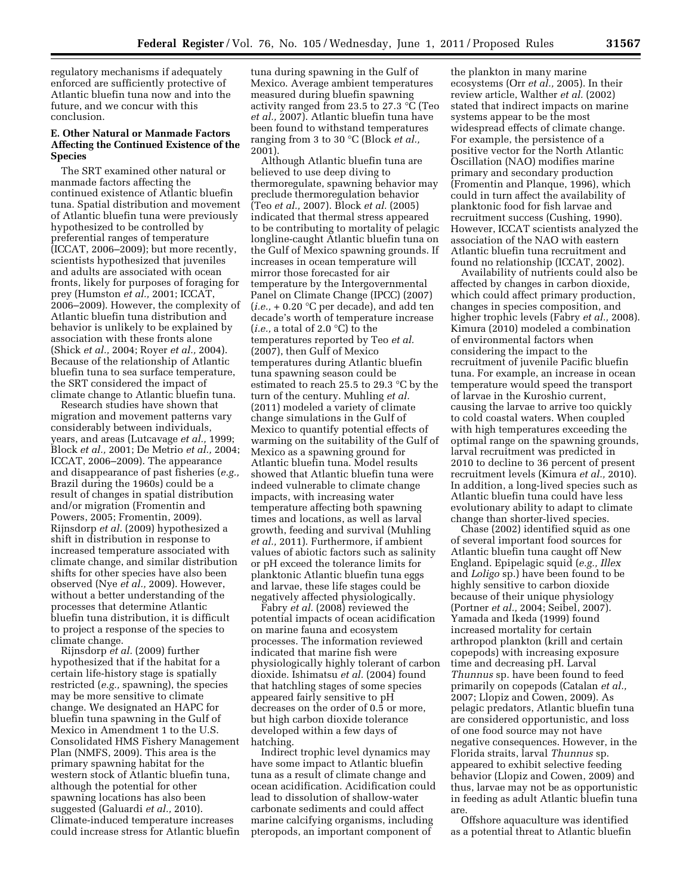regulatory mechanisms if adequately enforced are sufficiently protective of Atlantic bluefin tuna now and into the future, and we concur with this conclusion.

#### **E. Other Natural or Manmade Factors Affecting the Continued Existence of the Species**

The SRT examined other natural or manmade factors affecting the continued existence of Atlantic bluefin tuna. Spatial distribution and movement of Atlantic bluefin tuna were previously hypothesized to be controlled by preferential ranges of temperature (ICCAT, 2006–2009); but more recently, scientists hypothesized that juveniles and adults are associated with ocean fronts, likely for purposes of foraging for prey (Humston *et al.,* 2001; ICCAT, 2006–2009). However, the complexity of Atlantic bluefin tuna distribution and behavior is unlikely to be explained by association with these fronts alone (Shick *et al.,* 2004; Royer *et al.,* 2004). Because of the relationship of Atlantic bluefin tuna to sea surface temperature, the SRT considered the impact of climate change to Atlantic bluefin tuna.

Research studies have shown that migration and movement patterns vary considerably between individuals, years, and areas (Lutcavage *et al.,* 1999; Block *et al.,* 2001; De Metrio *et al.,* 2004; ICCAT, 2006–2009). The appearance and disappearance of past fisheries (*e.g.,*  Brazil during the 1960s) could be a result of changes in spatial distribution and/or migration (Fromentin and Powers, 2005; Fromentin, 2009). Rijnsdorp *et al.* (2009) hypothesized a shift in distribution in response to increased temperature associated with climate change, and similar distribution shifts for other species have also been observed (Nye *et al.,* 2009). However, without a better understanding of the processes that determine Atlantic bluefin tuna distribution, it is difficult to project a response of the species to climate change.

Rijnsdorp *et al.* (2009) further hypothesized that if the habitat for a certain life-history stage is spatially restricted (*e.g.,* spawning), the species may be more sensitive to climate change. We designated an HAPC for bluefin tuna spawning in the Gulf of Mexico in Amendment 1 to the U.S. Consolidated HMS Fishery Management Plan (NMFS, 2009). This area is the primary spawning habitat for the western stock of Atlantic bluefin tuna, although the potential for other spawning locations has also been suggested (Galuardi *et al.,* 2010). Climate-induced temperature increases could increase stress for Atlantic bluefin

tuna during spawning in the Gulf of Mexico. Average ambient temperatures measured during bluefin spawning activity ranged from 23.5 to 27.3 °C (Teo *et al.,* 2007). Atlantic bluefin tuna have been found to withstand temperatures ranging from 3 to 30 °C (Block *et al.,*  2001).

Although Atlantic bluefin tuna are believed to use deep diving to thermoregulate, spawning behavior may preclude thermoregulation behavior (Teo *et al.,* 2007). Block *et al.* (2005) indicated that thermal stress appeared to be contributing to mortality of pelagic longline-caught Atlantic bluefin tuna on the Gulf of Mexico spawning grounds. If increases in ocean temperature will mirror those forecasted for air temperature by the Intergovernmental Panel on Climate Change (IPCC) (2007)  $(i.e., +0.20 \degree C$  per decade), and add ten decade's worth of temperature increase (*i.e.,* a total of 2.0 °C) to the temperatures reported by Teo *et al.*  (2007), then Gulf of Mexico temperatures during Atlantic bluefin tuna spawning season could be estimated to reach 25.5 to 29.3 °C by the turn of the century. Muhling *et al.*  (2011) modeled a variety of climate change simulations in the Gulf of Mexico to quantify potential effects of warming on the suitability of the Gulf of Mexico as a spawning ground for Atlantic bluefin tuna. Model results showed that Atlantic bluefin tuna were indeed vulnerable to climate change impacts, with increasing water temperature affecting both spawning times and locations, as well as larval growth, feeding and survival (Muhling *et al.,* 2011). Furthermore, if ambient values of abiotic factors such as salinity or pH exceed the tolerance limits for planktonic Atlantic bluefin tuna eggs and larvae, these life stages could be negatively affected physiologically.

Fabry *et al.* (2008) reviewed the potential impacts of ocean acidification on marine fauna and ecosystem processes. The information reviewed indicated that marine fish were physiologically highly tolerant of carbon dioxide. Ishimatsu *et al.* (2004) found that hatchling stages of some species appeared fairly sensitive to pH decreases on the order of 0.5 or more, but high carbon dioxide tolerance developed within a few days of hatching.

Indirect trophic level dynamics may have some impact to Atlantic bluefin tuna as a result of climate change and ocean acidification. Acidification could lead to dissolution of shallow-water carbonate sediments and could affect marine calcifying organisms, including pteropods, an important component of

the plankton in many marine ecosystems (Orr *et al.,* 2005). In their review article, Walther *et al.* (2002) stated that indirect impacts on marine systems appear to be the most widespread effects of climate change. For example, the persistence of a positive vector for the North Atlantic Oscillation (NAO) modifies marine primary and secondary production (Fromentin and Planque, 1996), which could in turn affect the availability of planktonic food for fish larvae and recruitment success (Cushing, 1990). However, ICCAT scientists analyzed the association of the NAO with eastern Atlantic bluefin tuna recruitment and found no relationship (ICCAT, 2002).

Availability of nutrients could also be affected by changes in carbon dioxide, which could affect primary production, changes in species composition, and higher trophic levels (Fabry *et al.,* 2008). Kimura (2010) modeled a combination of environmental factors when considering the impact to the recruitment of juvenile Pacific bluefin tuna. For example, an increase in ocean temperature would speed the transport of larvae in the Kuroshio current, causing the larvae to arrive too quickly to cold coastal waters. When coupled with high temperatures exceeding the optimal range on the spawning grounds, larval recruitment was predicted in 2010 to decline to 36 percent of present recruitment levels (Kimura *et al.,* 2010). In addition, a long-lived species such as Atlantic bluefin tuna could have less evolutionary ability to adapt to climate change than shorter-lived species.

Chase (2002) identified squid as one of several important food sources for Atlantic bluefin tuna caught off New England. Epipelagic squid (*e.g., Illex*  and *Loligo* sp.) have been found to be highly sensitive to carbon dioxide because of their unique physiology (Portner *et al.,* 2004; Seibel, 2007). Yamada and Ikeda (1999) found increased mortality for certain arthropod plankton (krill and certain copepods) with increasing exposure time and decreasing pH. Larval *Thunnus* sp. have been found to feed primarily on copepods (Catalan *et al.,*  2007; Llopiz and Cowen, 2009). As pelagic predators, Atlantic bluefin tuna are considered opportunistic, and loss of one food source may not have negative consequences. However, in the Florida straits, larval *Thunnus* sp. appeared to exhibit selective feeding behavior (Llopiz and Cowen, 2009) and thus, larvae may not be as opportunistic in feeding as adult Atlantic bluefin tuna are.

Offshore aquaculture was identified as a potential threat to Atlantic bluefin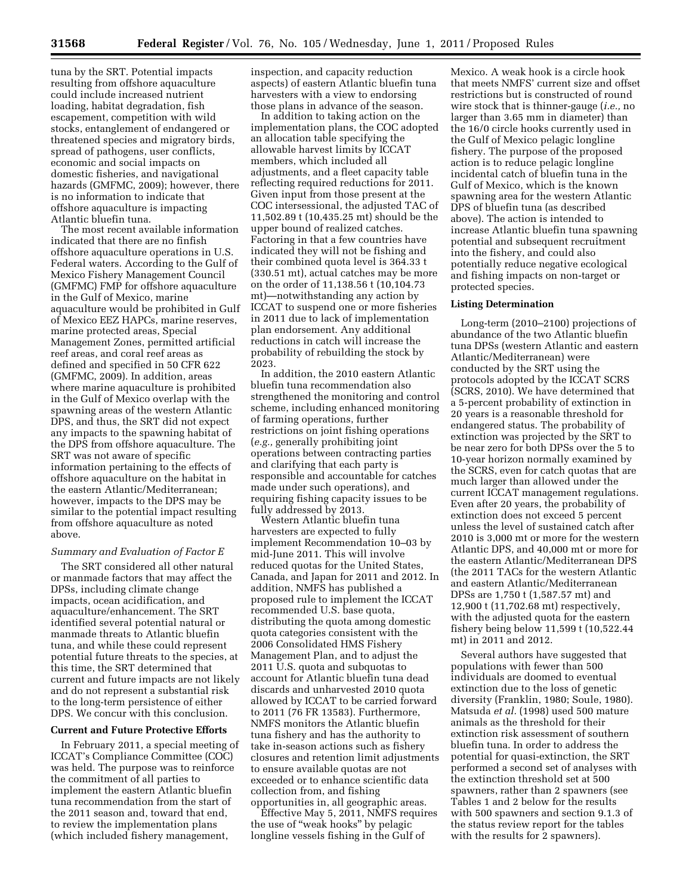tuna by the SRT. Potential impacts resulting from offshore aquaculture could include increased nutrient loading, habitat degradation, fish escapement, competition with wild stocks, entanglement of endangered or threatened species and migratory birds, spread of pathogens, user conflicts, economic and social impacts on domestic fisheries, and navigational hazards (GMFMC, 2009); however, there is no information to indicate that offshore aquaculture is impacting Atlantic bluefin tuna.

The most recent available information indicated that there are no finfish offshore aquaculture operations in U.S. Federal waters. According to the Gulf of Mexico Fishery Management Council (GMFMC) FMP for offshore aquaculture in the Gulf of Mexico, marine aquaculture would be prohibited in Gulf of Mexico EEZ HAPCs, marine reserves, marine protected areas, Special Management Zones, permitted artificial reef areas, and coral reef areas as defined and specified in 50 CFR 622 (GMFMC, 2009). In addition, areas where marine aquaculture is prohibited in the Gulf of Mexico overlap with the spawning areas of the western Atlantic DPS, and thus, the SRT did not expect any impacts to the spawning habitat of the DPS from offshore aquaculture. The SRT was not aware of specific information pertaining to the effects of offshore aquaculture on the habitat in the eastern Atlantic/Mediterranean; however, impacts to the DPS may be similar to the potential impact resulting from offshore aquaculture as noted above.

#### *Summary and Evaluation of Factor E*

The SRT considered all other natural or manmade factors that may affect the DPSs, including climate change impacts, ocean acidification, and aquaculture/enhancement. The SRT identified several potential natural or manmade threats to Atlantic bluefin tuna, and while these could represent potential future threats to the species, at this time, the SRT determined that current and future impacts are not likely and do not represent a substantial risk to the long-term persistence of either DPS. We concur with this conclusion.

#### **Current and Future Protective Efforts**

In February 2011, a special meeting of ICCAT's Compliance Committee (COC) was held. The purpose was to reinforce the commitment of all parties to implement the eastern Atlantic bluefin tuna recommendation from the start of the 2011 season and, toward that end, to review the implementation plans (which included fishery management,

inspection, and capacity reduction aspects) of eastern Atlantic bluefin tuna harvesters with a view to endorsing those plans in advance of the season.

In addition to taking action on the implementation plans, the COC adopted an allocation table specifying the allowable harvest limits by ICCAT members, which included all adjustments, and a fleet capacity table reflecting required reductions for 2011. Given input from those present at the COC intersessional, the adjusted TAC of 11,502.89 t (10,435.25 mt) should be the upper bound of realized catches. Factoring in that a few countries have indicated they will not be fishing and their combined quota level is 364.33 t (330.51 mt), actual catches may be more on the order of 11,138.56 t (10,104.73 mt)—notwithstanding any action by ICCAT to suspend one or more fisheries in 2011 due to lack of implementation plan endorsement. Any additional reductions in catch will increase the probability of rebuilding the stock by 2023.

In addition, the 2010 eastern Atlantic bluefin tuna recommendation also strengthened the monitoring and control scheme, including enhanced monitoring of farming operations, further restrictions on joint fishing operations (*e.g.,* generally prohibiting joint operations between contracting parties and clarifying that each party is responsible and accountable for catches made under such operations), and requiring fishing capacity issues to be fully addressed by 2013.

Western Atlantic bluefin tuna harvesters are expected to fully implement Recommendation 10–03 by mid-June 2011. This will involve reduced quotas for the United States, Canada, and Japan for 2011 and 2012. In addition, NMFS has published a proposed rule to implement the ICCAT recommended U.S. base quota, distributing the quota among domestic quota categories consistent with the 2006 Consolidated HMS Fishery Management Plan, and to adjust the 2011 U.S. quota and subquotas to account for Atlantic bluefin tuna dead discards and unharvested 2010 quota allowed by ICCAT to be carried forward to 2011 (76 FR 13583). Furthermore, NMFS monitors the Atlantic bluefin tuna fishery and has the authority to take in-season actions such as fishery closures and retention limit adjustments to ensure available quotas are not exceeded or to enhance scientific data collection from, and fishing opportunities in, all geographic areas.

Effective May 5, 2011, NMFS requires the use of "weak hooks" by pelagic longline vessels fishing in the Gulf of

Mexico. A weak hook is a circle hook that meets NMFS' current size and offset restrictions but is constructed of round wire stock that is thinner-gauge (*i.e.,* no larger than 3.65 mm in diameter) than the 16/0 circle hooks currently used in the Gulf of Mexico pelagic longline fishery. The purpose of the proposed action is to reduce pelagic longline incidental catch of bluefin tuna in the Gulf of Mexico, which is the known spawning area for the western Atlantic DPS of bluefin tuna (as described above). The action is intended to increase Atlantic bluefin tuna spawning potential and subsequent recruitment into the fishery, and could also potentially reduce negative ecological and fishing impacts on non-target or protected species.

#### **Listing Determination**

Long-term (2010–2100) projections of abundance of the two Atlantic bluefin tuna DPSs (western Atlantic and eastern Atlantic/Mediterranean) were conducted by the SRT using the protocols adopted by the ICCAT SCRS (SCRS, 2010). We have determined that a 5-percent probability of extinction in 20 years is a reasonable threshold for endangered status. The probability of extinction was projected by the SRT to be near zero for both DPSs over the 5 to 10-year horizon normally examined by the SCRS, even for catch quotas that are much larger than allowed under the current ICCAT management regulations. Even after 20 years, the probability of extinction does not exceed 5 percent unless the level of sustained catch after 2010 is 3,000 mt or more for the western Atlantic DPS, and 40,000 mt or more for the eastern Atlantic/Mediterranean DPS (the 2011 TACs for the western Atlantic and eastern Atlantic/Mediterranean DPSs are 1,750 t (1,587.57 mt) and 12,900 t (11,702.68 mt) respectively, with the adjusted quota for the eastern fishery being below 11,599 t (10,522.44 mt) in 2011 and 2012.

Several authors have suggested that populations with fewer than 500 individuals are doomed to eventual extinction due to the loss of genetic diversity (Franklin, 1980; Soule, 1980). Matsuda *et al.* (1998) used 500 mature animals as the threshold for their extinction risk assessment of southern bluefin tuna. In order to address the potential for quasi-extinction, the SRT performed a second set of analyses with the extinction threshold set at 500 spawners, rather than 2 spawners (see Tables 1 and 2 below for the results with 500 spawners and section 9.1.3 of the status review report for the tables with the results for 2 spawners).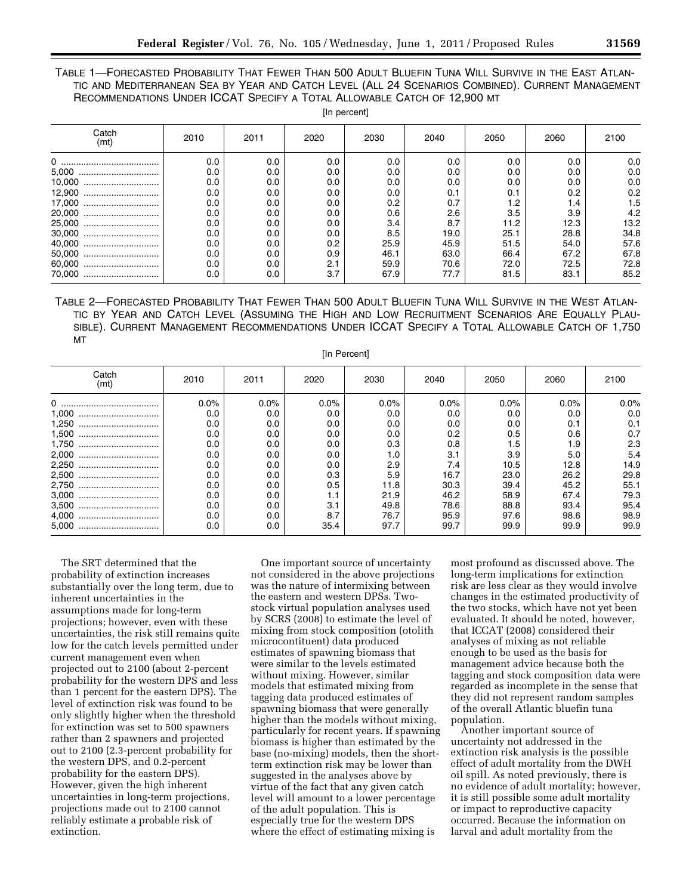# TABLE 1—FORECASTED PROBABILITY THAT FEWER THAN 500 ADULT BLUEFIN TUNA WILL SURVIVE IN THE EAST ATLAN-TIC AND MEDITERRANEAN SEA BY YEAR AND CATCH LEVEL (ALL 24 SCENARIOS COMBINED). CURRENT MANAGEMENT RECOMMENDATIONS UNDER ICCAT SPECIFY A TOTAL ALLOWABLE CATCH OF 12,900 MT

[In percent]

| Catch<br>(mt) | 2010 | 2011    | 2020 | 2030          | 2040 | 2050 | 2060 | 2100 |  |  |  |  |
|---------------|------|---------|------|---------------|------|------|------|------|--|--|--|--|
|               | 0.0  | 0.0     | 0.0  | 0.0           | 0.0  | 0.0  | 0.0  | 0.0  |  |  |  |  |
|               | 0.0  | 0.0     | 0.0  | 0.0           | 0.0  | 0.0  | 0.0  | 0.0  |  |  |  |  |
|               | 0.0  | 0.0     | 0.0  | 0.0           | 0.0  | 0.0  | 0.0  | 0.0  |  |  |  |  |
| 12,900        | 0.0  | 0.0     | 0.0  | 0.0           | 0.1  | 0.1  | 0.2  | 0.2  |  |  |  |  |
| 17,000        | 0.0  | 0.0     | 0.0  | 0.2           | 0.7  | 1.2  | 1.4  | 1.5  |  |  |  |  |
|               | 0.0  | 0.0     | 0.0  | 0.6           | 2.6  | 3.5  | 3.9  | 4.2  |  |  |  |  |
| 25,000        | 0.0  | 0.0     | 0.0  | $3.4^{\circ}$ | 8.7  | 11.2 | 12.3 | 13.2 |  |  |  |  |
|               | 0.0  | 0.0     | 0.0  | 8.5           | 19.0 | 25.1 | 28.8 | 34.8 |  |  |  |  |
|               | 0.0  | $0.0\,$ | 0.2  | 25.9          | 45.9 | 51.5 | 54.0 | 57.6 |  |  |  |  |
|               | 0.0  | $0.0\,$ | 0.9  | 46.1          | 63.0 | 66.4 | 67.2 | 67.8 |  |  |  |  |
| 60,000        | 0.0  | 0.0     | 2.1  | 59.9          | 70.6 | 72.0 | 72.5 | 72.8 |  |  |  |  |
| 70.000<br>    | 0.0  | 0.0     | 3.7  | 67.9          | 77.7 | 81.5 | 83.1 | 85.2 |  |  |  |  |

TABLE 2—FORECASTED PROBABILITY THAT FEWER THAN 500 ADULT BLUEFIN TUNA WILL SURVIVE IN THE WEST ATLAN-TIC BY YEAR AND CATCH LEVEL (ASSUMING THE HIGH AND LOW RECRUITMENT SCENARIOS ARE EQUALLY PLAU-SIBLE). CURRENT MANAGEMENT RECOMMENDATIONS UNDER ICCAT SPECIFY A TOTAL ALLOWABLE CATCH OF 1,750 MT

[In Percent]

| Catch<br>(mt) | 2010    | 2011 | 2020 | 2030    | 2040    | 2050 | 2060    | 2100    |
|---------------|---------|------|------|---------|---------|------|---------|---------|
| 0             | $0.0\%$ | 0.0% | 0.0% | $0.0\%$ | $0.0\%$ | 0.0% | $0.0\%$ | $0.0\%$ |
| 1.000         | 0.0     | 0.0  | 0.0  | 0.0     | 0.0     | 0.0  | 0.0     | 0.0     |
| 1.250         | 0.0     | 0.0  | 0.0  | 0.0     | 0.0     | 0.0  | 0.1     | 0.1     |
| 1.500<br>     | 0.0     | 0.0  | 0.0  | 0.0     | 0.2     | 0.5  | 0.6     | 0.7     |
| 1,750         | 0.0     | 0.0  | 0.0  | 0.3     | 0.8     | 1.5  | 1.9     | 2.3     |
| 2.000<br>     | 0.0     | 0.0  | 0.0  | 1.0     | 3.1     | 3.9  | 5.0     | 5.4     |
| 2,250         | 0.0     | 0.0  | 0.0  | 2.9     | 7.4     | 10.5 | 12.8    | 14.9    |
| 2,500         | 0.0     | 0.0  | 0.3  | 5.9     | 16.7    | 23.0 | 26.2    | 29.8    |
| 2.750         | 0.0     | 0.0  | 0.5  | 11.8    | 30.3    | 39.4 | 45.2    | 55.1    |
| 3.000<br>     | 0.0     | 0.0  | 1.1  | 21.9    | 46.2    | 58.9 | 67.4    | 79.3    |
|               | 0.0     | 0.0  | 3.1  | 49.8    | 78.6    | 88.8 | 93.4    | 95.4    |
| 4.000<br>     | 0.0     | 0.0  | 8.7  | 76.7    | 95.9    | 97.6 | 98.6    | 98.9    |
| 5.000         | 0.0     | 0.0  | 35.4 | 97.7    | 99.7    | 99.9 | 99.9    | 99.9    |

The SRT determined that the probability of extinction increases substantially over the long term, due to inherent uncertainties in the assumptions made for long-term projections; however, even with these uncertainties, the risk still remains quite low for the catch levels permitted under current management even when projected out to 2100 (about 2-percent probability for the western DPS and less than 1 percent for the eastern DPS). The level of extinction risk was found to be only slightly higher when the threshold for extinction was set to 500 spawners rather than 2 spawners and projected out to 2100 (2.3-percent probability for the western DPS, and 0.2-percent probability for the eastern DPS). However, given the high inherent uncertainties in long-term projections, projections made out to 2100 cannot reliably estimate a probable risk of extinction.

One important source of uncertainty not considered in the above projections was the nature of intermixing between the eastern and western DPSs. Twostock virtual population analyses used by SCRS (2008) to estimate the level of mixing from stock composition (otolith microcontituent) data produced estimates of spawning biomass that were similar to the levels estimated without mixing. However, similar models that estimated mixing from tagging data produced estimates of spawning biomass that were generally higher than the models without mixing, particularly for recent years. If spawning biomass is higher than estimated by the base (no-mixing) models, then the shortterm extinction risk may be lower than suggested in the analyses above by virtue of the fact that any given catch level will amount to a lower percentage of the adult population. This is especially true for the western DPS where the effect of estimating mixing is

most profound as discussed above. The long-term implications for extinction risk are less clear as they would involve changes in the estimated productivity of the two stocks, which have not yet been evaluated. It should be noted, however, that ICCAT (2008) considered their analyses of mixing as not reliable enough to be used as the basis for management advice because both the tagging and stock composition data were regarded as incomplete in the sense that they did not represent random samples of the overall Atlantic bluefin tuna population.

Another important source of uncertainty not addressed in the extinction risk analysis is the possible effect of adult mortality from the DWH oil spill. As noted previously, there is no evidence of adult mortality; however, it is still possible some adult mortality or impact to reproductive capacity occurred. Because the information on larval and adult mortality from the